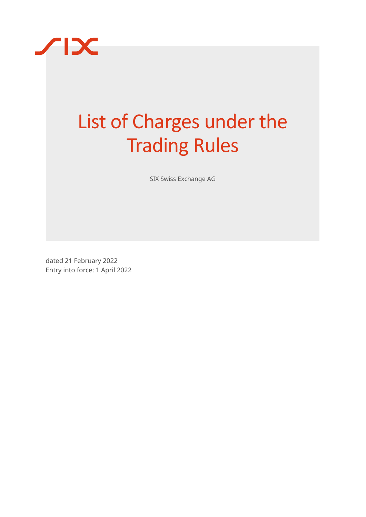

# List of Charges under the Trading Rules

SIX Swiss Exchange AG

dated 21 February 2022 Entry into force: 1 April 2022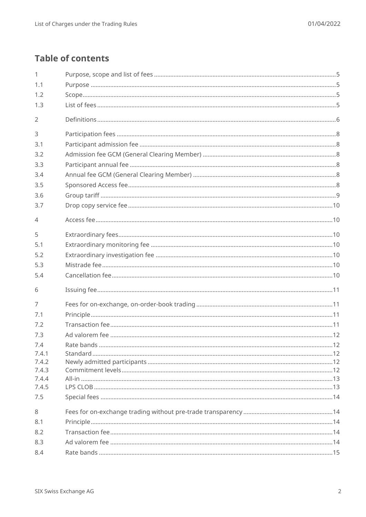# **Table of contents**

| 1              |  |
|----------------|--|
| 1.1            |  |
| 1.2            |  |
| 1.3            |  |
| $\overline{2}$ |  |
| 3              |  |
| 3.1            |  |
| 3.2            |  |
| 3.3            |  |
| 3.4            |  |
| 3.5            |  |
| 3.6            |  |
| 3.7            |  |
| $\overline{4}$ |  |
| 5              |  |
| 5.1            |  |
| 5.2            |  |
| 5.3            |  |
| 5.4            |  |
| 6              |  |
| $\overline{7}$ |  |
| 7.1            |  |
| 7.2            |  |
| 7.3            |  |
| 7.4            |  |
| 7.4.1          |  |
| 7.4.2          |  |
| 7.4.3          |  |
| 7.4.4<br>7.4.5 |  |
| 7.5            |  |
| 8              |  |
| 8.1            |  |
| 8.2            |  |
| 8.3            |  |
| 8.4            |  |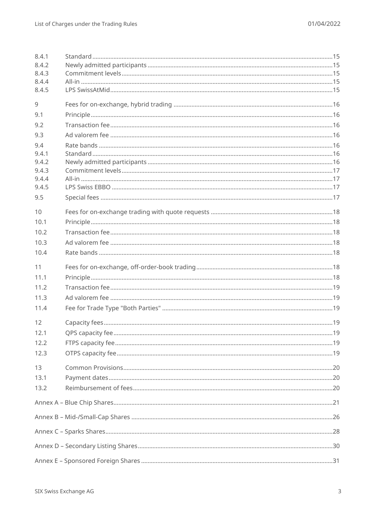| 8.4.1<br>8.4.2<br>8.4.3<br>8.4.4<br>8.4.5 |  |
|-------------------------------------------|--|
| 9                                         |  |
| 9.1                                       |  |
| 9.2                                       |  |
| 9.3                                       |  |
| 9.4                                       |  |
| 9.4.1<br>9.4.2                            |  |
| 9.4.3                                     |  |
| 9.4.4                                     |  |
| 9.4.5                                     |  |
| 9.5                                       |  |
| 10                                        |  |
| 10.1                                      |  |
| 10.2                                      |  |
| 10.3                                      |  |
| 10.4                                      |  |
| 11                                        |  |
| 11.1                                      |  |
|                                           |  |
| 11.2                                      |  |
| 11.3                                      |  |
| 11.4                                      |  |
| 12                                        |  |
| 12.1                                      |  |
| 12.2                                      |  |
| 12.3                                      |  |
| 13                                        |  |
| 13.1                                      |  |
| 13.2                                      |  |
|                                           |  |
|                                           |  |
|                                           |  |
|                                           |  |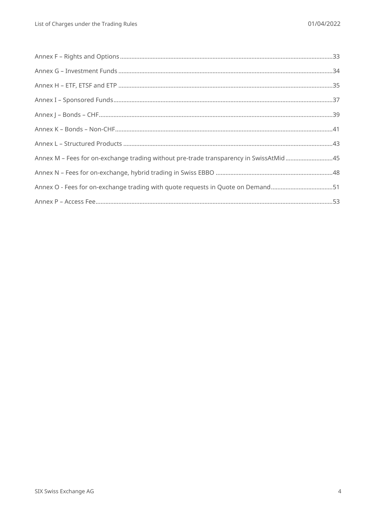| Annex M - Fees for on-exchange trading without pre-trade transparency in SwissAtMid45 |  |
|---------------------------------------------------------------------------------------|--|
|                                                                                       |  |
| Annex O - Fees for on-exchange trading with quote requests in Quote on Demand51       |  |
|                                                                                       |  |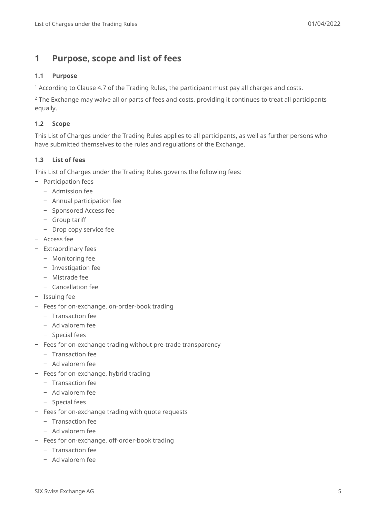# <span id="page-4-0"></span>**1 Purpose, scope and list of fees**

#### <span id="page-4-1"></span>**1.1 Purpose**

<sup>1</sup> According to Clause 4.7 of the Trading Rules, the participant must pay all charges and costs.

<sup>2</sup> The Exchange may waive all or parts of fees and costs, providing it continues to treat all participants equally.

### <span id="page-4-2"></span>**1.2 Scope**

This List of Charges under the Trading Rules applies to all participants, as well as further persons who have submitted themselves to the rules and regulations of the Exchange.

### <span id="page-4-3"></span>**1.3 List of fees**

This List of Charges under the Trading Rules governs the following fees:

- ‒ Participation fees
	- Admission fee
	- ‒ Annual participation fee
	- Sponsored Access fee
	- ‒ Group tariff
	- Drop copy service fee
- ‒ Access fee
- ‒ Extraordinary fees
	- Monitoring fee
	- ‒ Investigation fee
	- ‒ Mistrade fee
	- ‒ Cancellation fee
- Issuing fee
- ‒ Fees for on-exchange, on-order-book trading
	- ‒ Transaction fee
	- Ad valorem fee
	- ‒ Special fees
- Fees for on-exchange trading without pre-trade transparency
	- ‒ Transaction fee
	- ‒ Ad valorem fee
- Fees for on-exchange, hybrid trading
	- ‒ Transaction fee
	- Ad valorem fee
	- ‒ Special fees
- Fees for on-exchange trading with quote requests
	- ‒ Transaction fee
	- Ad valorem fee
- Fees for on-exchange, off-order-book trading
	- ‒ Transaction fee
	- Ad valorem fee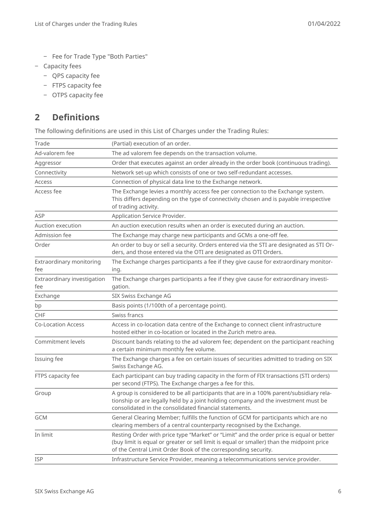- Fee for Trade Type "Both Parties"
- ‒ Capacity fees
	- QPS capacity fee
	- ‒ FTPS capacity fee
	- OTPS capacity fee

# <span id="page-5-0"></span>**2 Definitions**

The following definitions are used in this List of Charges under the Trading Rules:

| Trade                              | (Partial) execution of an order.                                                                                                                                                                                                                        |
|------------------------------------|---------------------------------------------------------------------------------------------------------------------------------------------------------------------------------------------------------------------------------------------------------|
| Ad-valorem fee                     | The ad valorem fee depends on the transaction volume.                                                                                                                                                                                                   |
| Aggressor                          | Order that executes against an order already in the order book (continuous trading).                                                                                                                                                                    |
| Connectivity                       | Network set-up which consists of one or two self-redundant accesses.                                                                                                                                                                                    |
| Access                             | Connection of physical data line to the Exchange network.                                                                                                                                                                                               |
| Access fee                         | The Exchange levies a monthly access fee per connection to the Exchange system.<br>This differs depending on the type of connectivity chosen and is payable irrespective<br>of trading activity.                                                        |
| ASP                                | Application Service Provider.                                                                                                                                                                                                                           |
| Auction execution                  | An auction execution results when an order is executed during an auction.                                                                                                                                                                               |
| Admission fee                      | The Exchange may charge new participants and GCMs a one-off fee.                                                                                                                                                                                        |
| Order                              | An order to buy or sell a security. Orders entered via the STI are designated as STI Or-<br>ders, and those entered via the OTI are designated as OTI Orders.                                                                                           |
| Extraordinary monitoring<br>fee    | The Exchange charges participants a fee if they give cause for extraordinary monitor-<br>ing.                                                                                                                                                           |
| Extraordinary investigation<br>fee | The Exchange charges participants a fee if they give cause for extraordinary investi-<br>gation.                                                                                                                                                        |
| Exchange                           | SIX Swiss Exchange AG                                                                                                                                                                                                                                   |
| bp                                 | Basis points (1/100th of a percentage point).                                                                                                                                                                                                           |
| <b>CHF</b>                         | Swiss francs                                                                                                                                                                                                                                            |
| <b>Co-Location Access</b>          | Access in co-location data centre of the Exchange to connect client infrastructure<br>hosted either in co-location or located in the Zurich metro area.                                                                                                 |
| Commitment levels                  | Discount bands relating to the ad valorem fee; dependent on the participant reaching<br>a certain minimum monthly fee volume.                                                                                                                           |
| Issuing fee                        | The Exchange charges a fee on certain issues of securities admitted to trading on SIX<br>Swiss Exchange AG.                                                                                                                                             |
| FTPS capacity fee                  | Each participant can buy trading capacity in the form of FIX transactions (STI orders)<br>per second (FTPS). The Exchange charges a fee for this.                                                                                                       |
| Group                              | A group is considered to be all participants that are in a 100% parent/subsidiary rela-<br>tionship or are legally held by a joint holding company and the investment must be<br>consolidated in the consolidated financial statements.                 |
| <b>GCM</b>                         | General Clearing Member; fulfills the function of GCM for participants which are no<br>clearing members of a central counterparty recognised by the Exchange.                                                                                           |
| In limit                           | Resting Order with price type "Market" or "Limit" and the order price is equal or better<br>(buy limit is equal or greater or sell limit is equal or smaller) than the midpoint price<br>of the Central Limit Order Book of the corresponding security. |
| <b>ISP</b>                         | Infrastructure Service Provider, meaning a telecommunications service provider.                                                                                                                                                                         |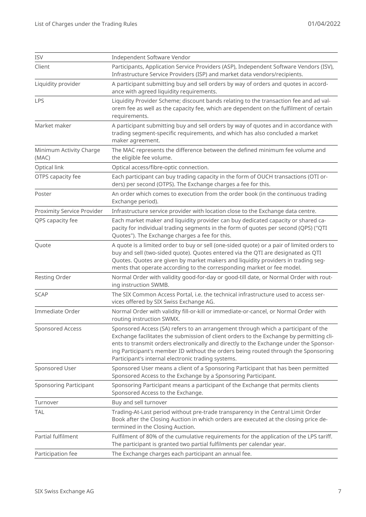| <b>ISV</b>                        | Independent Software Vendor                                                                                                                                                                                                                                                                                                                                                                                        |
|-----------------------------------|--------------------------------------------------------------------------------------------------------------------------------------------------------------------------------------------------------------------------------------------------------------------------------------------------------------------------------------------------------------------------------------------------------------------|
| Client                            | Participants, Application Service Providers (ASP), Independent Software Vendors (ISV),<br>Infrastructure Service Providers (ISP) and market data vendors/recipients.                                                                                                                                                                                                                                               |
| Liquidity provider                | A participant submitting buy and sell orders by way of orders and quotes in accord-<br>ance with agreed liquidity requirements.                                                                                                                                                                                                                                                                                    |
| LPS                               | Liquidity Provider Scheme; discount bands relating to the transaction fee and ad val-<br>orem fee as well as the capacity fee, which are dependent on the fulfilment of certain<br>requirements.                                                                                                                                                                                                                   |
| Market maker                      | A participant submitting buy and sell orders by way of quotes and in accordance with<br>trading segment-specific requirements, and which has also concluded a market<br>maker agreement.                                                                                                                                                                                                                           |
| Minimum Activity Charge<br>(MAC)  | The MAC represents the difference between the defined minimum fee volume and<br>the eligible fee volume.                                                                                                                                                                                                                                                                                                           |
| Optical link                      | Optical access/fibre-optic connection.                                                                                                                                                                                                                                                                                                                                                                             |
| OTPS capacity fee                 | Each participant can buy trading capacity in the form of OUCH transactions (OTI or-<br>ders) per second (OTPS). The Exchange charges a fee for this.                                                                                                                                                                                                                                                               |
| Poster                            | An order which comes to execution from the order book (in the continuous trading<br>Exchange period).                                                                                                                                                                                                                                                                                                              |
| <b>Proximity Service Provider</b> | Infrastructure service provider with location close to the Exchange data centre.                                                                                                                                                                                                                                                                                                                                   |
| QPS capacity fee                  | Each market maker and liquidity provider can buy dedicated capacity or shared ca-<br>pacity for individual trading segments in the form of quotes per second (QPS) ("QTI<br>Quotes"). The Exchange charges a fee for this.                                                                                                                                                                                         |
| Quote                             | A quote is a limited order to buy or sell (one-sided quote) or a pair of limited orders to<br>buy and sell (two-sided quote). Quotes entered via the QTI are designated as QTI<br>Quotes. Quotes are given by market makers and liquidity providers in trading seg-<br>ments that operate according to the corresponding market or fee model.                                                                      |
| <b>Resting Order</b>              | Normal Order with validity good-for-day or good-till date, or Normal Order with rout-<br>ing instruction SWMB.                                                                                                                                                                                                                                                                                                     |
| <b>SCAP</b>                       | The SIX Common Access Portal, i.e. the technical infrastructure used to access ser-<br>vices offered by SIX Swiss Exchange AG.                                                                                                                                                                                                                                                                                     |
| Immediate Order                   | Normal Order with validity fill-or-kill or immediate-or-cancel, or Normal Order with<br>routing instruction SWMX.                                                                                                                                                                                                                                                                                                  |
| Sponsored Access                  | Sponsored Access (SA) refers to an arrangement through which a participant of the<br>Exchange facilitates the submission of client orders to the Exchange by permitting cli-<br>ents to transmit orders electronically and directly to the Exchange under the Sponsor-<br>ing Participant's member ID without the orders being routed through the Sponsoring<br>Participant's internal electronic trading systems. |
| Sponsored User                    | Sponsored User means a client of a Sponsoring Participant that has been permitted<br>Sponsored Access to the Exchange by a Sponsoring Participant.                                                                                                                                                                                                                                                                 |
| <b>Sponsoring Participant</b>     | Sponsoring Participant means a participant of the Exchange that permits clients<br>Sponsored Access to the Exchange.                                                                                                                                                                                                                                                                                               |
| Turnover                          | Buy and sell turnover                                                                                                                                                                                                                                                                                                                                                                                              |
| <b>TAL</b>                        | Trading-At-Last period without pre-trade transparency in the Central Limit Order<br>Book after the Closing Auction in which orders are executed at the closing price de-<br>termined in the Closing Auction.                                                                                                                                                                                                       |
| Partial fulfilment                | Fulfilment of 80% of the cumulative requirements for the application of the LPS tariff.<br>The participant is granted two partial fulfilments per calendar year.                                                                                                                                                                                                                                                   |
| Participation fee                 | The Exchange charges each participant an annual fee.                                                                                                                                                                                                                                                                                                                                                               |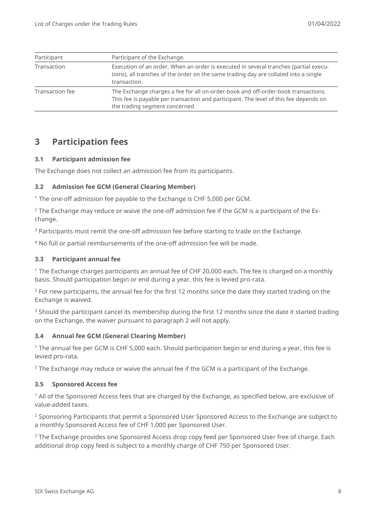| Participant            | Participant of the Exchange.                                                                                                                                                                                 |
|------------------------|--------------------------------------------------------------------------------------------------------------------------------------------------------------------------------------------------------------|
| Transaction            | Execution of an order. When an order is executed in several tranches (partial execu-<br>tions), all tranches of the order on the same trading day are collated into a single<br>transaction.                 |
| <b>Transaction fee</b> | The Exchange charges a fee for all on-order-book and off-order-book transactions.<br>This fee is payable per transaction and participant. The level of this fee depends on<br>the trading segment concerned. |

# <span id="page-7-0"></span>**3 Participation fees**

#### <span id="page-7-1"></span>**3.1 Participant admission fee**

<span id="page-7-2"></span>The Exchange does not collect an admission fee from its participants.

#### **3.2 Admission fee GCM (General Clearing Member)**

<sup>1</sup> The one-off admission fee payable to the Exchange is CHF 5,000 per GCM.

<sup>2</sup> The Exchange may reduce or waive the one-off admission fee if the GCM is a participant of the Exchange.

<sup>3</sup> Participants must remit the one-off admission fee before starting to trade on the Exchange.

<sup>4</sup> No full or partial reimbursements of the one-off admission fee will be made.

#### <span id="page-7-3"></span>**3.3 Participant annual fee**

<sup>1</sup> The Exchange charges participants an annual fee of CHF 20,000 each. The fee is charged on a monthly basis. Should participation begin or end during a year, this fee is levied pro-rata.

 $2$  For new participants, the annual fee for the first 12 months since the date they started trading on the Exchange is waived.

<sup>3</sup> Should the participant cancel its membership during the first 12 months since the date it started trading on the Exchange, the waiver pursuant to paragraph 2 will not apply.

#### <span id="page-7-4"></span>**3.4 Annual fee GCM (General Clearing Member)**

<sup>1</sup> The annual fee per GCM is CHF 5,000 each. Should participation begin or end during a year, this fee is levied pro-rata.

<span id="page-7-5"></span> $2$  The Exchange may reduce or waive the annual fee if the GCM is a participant of the Exchange.

#### **3.5 Sponsored Access fee**

<sup>1</sup> All of the Sponsored Access fees that are charged by the Exchange, as specified below, are exclusive of value-added taxes.

<sup>2</sup> Sponsoring Participants that permit a Sponsored User Sponsored Access to the Exchange are subject to a monthly Sponsored Access fee of CHF 1,000 per Sponsored User.

<sup>3</sup> The Exchange provides one Sponsored Access drop copy feed per Sponsored User free of charge. Each additional drop copy feed is subject to a monthly charge of CHF 750 per Sponsored User.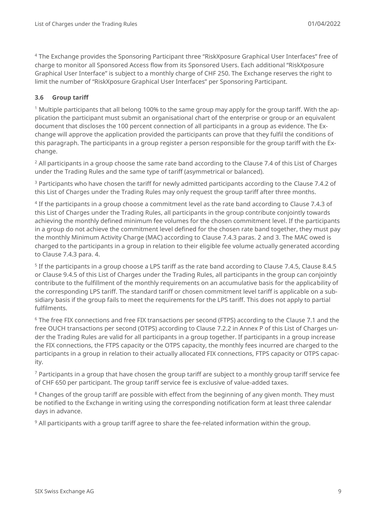<sup>4</sup> The Exchange provides the Sponsoring Participant three "RiskXposure Graphical User Interfaces" free of charge to monitor all Sponsored Access flow from its Sponsored Users. Each additional "RiskXposure Graphical User Interface" is subject to a monthly charge of CHF 250. The Exchange reserves the right to limit the number of "RiskXposure Graphical User Interfaces" per Sponsoring Participant.

### <span id="page-8-0"></span>**3.6 Group tariff**

<sup>1</sup> Multiple participants that all belong 100% to the same group may apply for the group tariff. With the application the participant must submit an organisational chart of the enterprise or group or an equivalent document that discloses the 100 percent connection of all participants in a group as evidence. The Exchange will approve the application provided the participants can prove that they fulfil the conditions of this paragraph. The participants in a group register a person responsible for the group tariff with the Exchange.

<sup>2</sup> All participants in a group choose the same rate band according to the Clause [7.4](#page-11-1) of this List of Charges under the Trading Rules and the same type of tariff (asymmetrical or balanced).

<sup>3</sup> Participants who have chosen the tariff for newly admitted participants according to the Clause [7.4.2](#page-11-3) of this List of Charges under the Trading Rules may only request the group tariff after three months.

4 If the participants in a group choose a commitment level as the rate band according to Clause [7.4.3](#page-11-4) of this List of Charges under the Trading Rules, all participants in the group contribute conjointly towards achieving the monthly defined minimum fee volumes for the chosen commitment level. If the participants in a group do not achieve the commitment level defined for the chosen rate band together, they must pay the monthly Minimum Activity Charge (MAC) according to Clause [7.4.3](#page-11-4) paras. [2](#page-11-5) and [3.](#page-11-6) The MAC owed is charged to the participants in a group in relation to their eligible fee volume actually generated according to Clause [7.4.3](#page-11-4) para. [4.](#page-11-7)

5 If the participants in a group choose a LPS tariff as the rate band according to Clause [7.4.5,](#page-12-1) Clause [8.4.5](#page-14-5) or Clause [9.4.5](#page-16-2) of this List of Charges under the Trading Rules, all participants in the group can conjointly contribute to the fulfillment of the monthly requirements on an accumulative basis for the applicability of the corresponding LPS tariff. The standard tariff or chosen commitment level tariff is applicable on a subsidiary basis if the group fails to meet the requirements for the LPS tariff. This does not apply to partial fulfilments.

<sup>6</sup> The free FIX connections and free FIX transactions per second (FTPS) according to the Clause [7.1](#page-10-2) and the free OUCH transactions per second (OTPS) according to Clause [7.2.2](#page-55-0) in [Annex P](#page-52-0) of this List of Charges under the Trading Rules are valid for all participants in a group together. If participants in a group increase the FIX connections, the FTPS capacity or the OTPS capacity, the monthly fees incurred are charged to the participants in a group in relation to their actually allocated FIX connections, FTPS capacity or OTPS capacity.

<sup>7</sup> Participants in a group that have chosen the group tariff are subject to a monthly group tariff service fee of CHF 650 per participant. The group tariff service fee is exclusive of value-added taxes.

<sup>8</sup> Changes of the group tariff are possible with effect from the beginning of any given month. They must be notified to the Exchange in writing using the corresponding notification form at least three calendar days in advance.

 $9$  All participants with a group tariff agree to share the fee-related information within the group.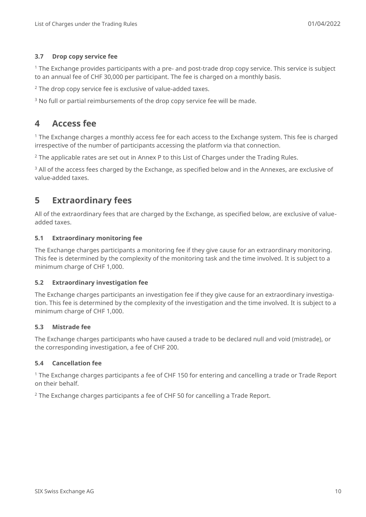### <span id="page-9-0"></span>**3.7 Drop copy service fee**

<sup>1</sup> The Exchange provides participants with a pre- and post-trade drop copy service. This service is subject to an annual fee of CHF 30,000 per participant. The fee is charged on a monthly basis.

 $2$  The drop copy service fee is exclusive of value-added taxes.

<span id="page-9-1"></span><sup>3</sup> No full or partial reimbursements of the drop copy service fee will be made.

# **4 Access fee**

<sup>1</sup> The Exchange charges a monthly access fee for each access to the Exchange system. This fee is charged irrespective of the number of participants accessing the platform via that connection.

 $2$  The applicable rates are set out in [Annex P](#page-52-0) to this List of Charges under the Trading Rules.

<sup>3</sup> All of the access fees charged by the Exchange, as specified below and in the Annexes, are exclusive of value-added taxes.

# <span id="page-9-2"></span>**5 Extraordinary fees**

All of the extraordinary fees that are charged by the Exchange, as specified below, are exclusive of valueadded taxes.

#### <span id="page-9-3"></span>**5.1 Extraordinary monitoring fee**

The Exchange charges participants a monitoring fee if they give cause for an extraordinary monitoring. This fee is determined by the complexity of the monitoring task and the time involved. It is subject to a minimum charge of CHF 1,000.

#### <span id="page-9-4"></span>**5.2 Extraordinary investigation fee**

The Exchange charges participants an investigation fee if they give cause for an extraordinary investigation. This fee is determined by the complexity of the investigation and the time involved. It is subject to a minimum charge of CHF 1,000.

#### <span id="page-9-5"></span>**5.3 Mistrade fee**

The Exchange charges participants who have caused a trade to be declared null and void (mistrade), or the corresponding investigation, a fee of CHF 200.

#### <span id="page-9-6"></span>**5.4 Cancellation fee**

<sup>1</sup> The Exchange charges participants a fee of CHF 150 for entering and cancelling a trade or Trade Report on their behalf.

<sup>2</sup> The Exchange charges participants a fee of CHF 50 for cancelling a Trade Report.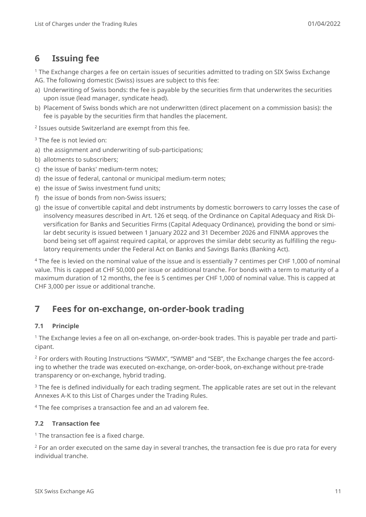# <span id="page-10-0"></span>**6 Issuing fee**

<sup>1</sup> The Exchange charges a fee on certain issues of securities admitted to trading on SIX Swiss Exchange AG. The following domestic (Swiss) issues are subject to this fee:

- a) Underwriting of Swiss bonds: the fee is payable by the securities firm that underwrites the securities upon issue (lead manager, syndicate head).
- b) Placement of Swiss bonds which are not underwritten (direct placement on a commission basis): the fee is payable by the securities firm that handles the placement.

2 Issues outside Switzerland are exempt from this fee.

<sup>3</sup> The fee is not levied on:

- a) the assignment and underwriting of sub-participations;
- b) allotments to subscribers;
- c) the issue of banks' medium-term notes;
- d) the issue of federal, cantonal or municipal medium-term notes;
- e) the issue of Swiss investment fund units;
- f) the issue of bonds from non-Swiss issuers;
- g) the issue of convertible capital and debt instruments by domestic borrowers to carry losses the case of insolvency measures described in Art. 126 et seqq. of the Ordinance on Capital Adequacy and Risk Diversification for Banks and Securities Firms (Capital Adequacy Ordinance), providing the bond or similar debt security is issued between 1 January 2022 and 31 December 2026 and FINMA approves the bond being set off against required capital, or approves the similar debt security as fulfilling the regulatory requirements under the Federal Act on Banks and Savings Banks (Banking Act).

<sup>4</sup> The fee is levied on the nominal value of the issue and is essentially 7 centimes per CHF 1,000 of nominal value. This is capped at CHF 50,000 per issue or additional tranche. For bonds with a term to maturity of a maximum duration of 12 months, the fee is 5 centimes per CHF 1,000 of nominal value. This is capped at CHF 3,000 per issue or additional tranche.

# <span id="page-10-1"></span>**7 Fees for on-exchange, on-order-book trading**

# <span id="page-10-2"></span>**7.1 Principle**

<sup>1</sup> The Exchange levies a fee on all on-exchange, on-order-book trades. This is payable per trade and participant.

<sup>2</sup> For orders with Routing Instructions "SWMX", "SWMB" and "SEB", the Exchange charges the fee according to whether the trade was executed on-exchange, on-order-book, on-exchange without pre-trade transparency or on-exchange, hybrid trading.

<sup>3</sup> The fee is defined individually for each trading segment. The applicable rates are set out in the relevant Annexes [A-](#page-20-0)[K](#page-40-0) to this List of Charges under the Trading Rules.

<span id="page-10-3"></span><sup>4</sup> The fee comprises a transaction fee and an ad valorem fee.

# **7.2 Transaction fee**

 $1$  The transaction fee is a fixed charge.

 $2$  For an order executed on the same day in several tranches, the transaction fee is due pro rata for every individual tranche.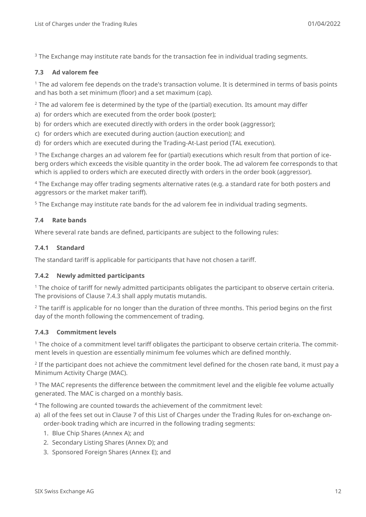<span id="page-11-0"></span><sup>3</sup> The Exchange may institute rate bands for the transaction fee in individual trading segments.

#### **7.3 Ad valorem fee**

 $1$  The ad valorem fee depends on the trade's transaction volume. It is determined in terms of basis points and has both a set minimum (floor) and a set maximum (cap).

 $2$  The ad valorem fee is determined by the type of the (partial) execution. Its amount may differ

- a) for orders which are executed from the order book (poster);
- b) for orders which are executed directly with orders in the order book (aggressor);
- c) for orders which are executed during auction (auction execution); and
- d) for orders which are executed during the Trading-At-Last period (TAL execution).

<sup>3</sup> The Exchange charges an ad valorem fee for (partial) executions which result from that portion of iceberg orders which exceeds the visible quantity in the order book. The ad valorem fee corresponds to that which is applied to orders which are executed directly with orders in the order book (aggressor).

<sup>4</sup> The Exchange may offer trading segments alternative rates (e.g. a standard rate for both posters and aggressors or the market maker tariff).

<span id="page-11-1"></span><sup>5</sup> The Exchange may institute rate bands for the ad valorem fee in individual trading segments.

#### **7.4 Rate bands**

<span id="page-11-2"></span>Where several rate bands are defined, participants are subject to the following rules:

#### **7.4.1 Standard**

<span id="page-11-3"></span>The standard tariff is applicable for participants that have not chosen a tariff.

#### **7.4.2 Newly admitted participants**

<sup>1</sup> The choice of tariff for newly admitted participants obligates the participant to observe certain criteria. The provisions of Clause [7.4.3](#page-11-4) shall apply mutatis mutandis.

 $2$  The tariff is applicable for no longer than the duration of three months. This period begins on the first day of the month following the commencement of trading.

#### <span id="page-11-4"></span>**7.4.3 Commitment levels**

<sup>1</sup> The choice of a commitment level tariff obligates the participant to observe certain criteria. The commitment levels in question are essentially minimum fee volumes which are defined monthly.

<span id="page-11-5"></span> $^2$  If the participant does not achieve the commitment level defined for the chosen rate band, it must pay a Minimum Activity Charge (MAC).

<span id="page-11-6"></span><sup>3</sup> The MAC represents the difference between the commitment level and the eligible fee volume actually generated. The MAC is charged on a monthly basis.

<span id="page-11-7"></span><sup>4</sup> The following are counted towards the achievement of the commitment level:

- a) all of the fees set out in Clause [7](#page-10-1) of this List of Charges under the Trading Rules for on-exchange onorder-book trading which are incurred in the following trading segments:
	- 1. Blue Chip Shares [\(Annex A\)](#page-20-0); and
	- 2. Secondary Listing Shares [\(Annex D\)](#page-29-0); and
	- 3. Sponsored Foreign Shares [\(Annex E\)](#page-30-0); and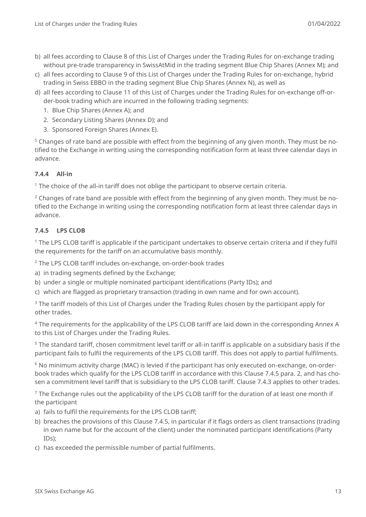- b) all fees according to Clause [8](#page-13-1) of this List of Charges under the Trading Rules for on-exchange trading without pre-trade transparency in SwissAtMid in the trading segment Blue Chip Shares [\(Annex M\)](#page-44-0); and
- c) all fees according to Clause [9](#page-15-0) of this List of Charges under the Trading Rules for on-exchange, hybrid trading in Swiss EBBO in the trading segment Blue Chip Shares [\(Annex N\)](#page-47-0), as well as
- d) all fees according to Clause [11](#page-17-5) of this List of Charges under the Trading Rules for on-exchange off-order-book trading which are incurred in the following trading segments:
	- 1. Blue Chip Shares [\(Annex A\)](#page-20-0); and
	- 2. Secondary Listing Shares [\(Annex D\)](#page-29-0); and
	- 3. Sponsored Foreign Shares [\(Annex E\)](#page-30-0).

<sup>5</sup> Changes of rate band are possible with effect from the beginning of any given month. They must be notified to the Exchange in writing using the corresponding notification form at least three calendar days in advance.

# <span id="page-12-0"></span>**7.4.4 All-in**

 $1$  The choice of the all-in tariff does not oblige the participant to observe certain criteria.

<sup>2</sup> Changes of rate band are possible with effect from the beginning of any given month. They must be notified to the Exchange in writing using the corresponding notification form at least three calendar days in advance.

# <span id="page-12-1"></span>**7.4.5 LPS CLOB**

<sup>1</sup> The LPS CLOB tariff is applicable if the participant undertakes to observe certain criteria and if they fulfil the requirements for the tariff on an accumulative basis monthly.

<span id="page-12-2"></span><sup>2</sup> The LPS CLOB tariff includes on-exchange, on-order-book trades

- a) in trading segments defined by the Exchange;
- b) under a single or multiple nominated participant identifications (Party IDs); and
- c) which are flagged as proprietary transaction (trading in own name and for own account).

 $3$  The tariff models of this List of Charges under the Trading Rules chosen by the participant apply for other trades.

<sup>4</sup> The requirements for the applicability of the LPS CLOB tariff are laid down in the corresponding Annex A to this List of Charges under the Trading Rules.

<sup>5</sup> The standard tariff, chosen commitment level tariff or all-in tariff is applicable on a subsidiary basis if the participant fails to fulfil the requirements of the LPS CLOB tariff. This does not apply to partial fulfilments.

 $6$  No minimum activity charge (MAC) is levied if the participant has only executed on-exchange, on-orderbook trades which qualify for the LPS CLOB tariff in accordance with this Clause [7.4.5](#page-12-1) para. [2,](#page-12-2) and has chosen a commitment level tariff that is subsidiary to the LPS CLOB tariff. Clause [7.4.3](#page-11-4) applies to other trades.

 $<sup>7</sup>$  The Exchange rules out the applicability of the LPS CLOB tariff for the duration of at least one month if</sup> the participant

- a) fails to fulfil the requirements for the LPS CLOB tariff;
- b) breaches the provisions of this Clause [7.4.5,](#page-12-1) in particular if it flags orders as client transactions (trading in own name but for the account of the client) under the nominated participant identifications (Party IDs);
- c) has exceeded the permissible number of partial fulfilments.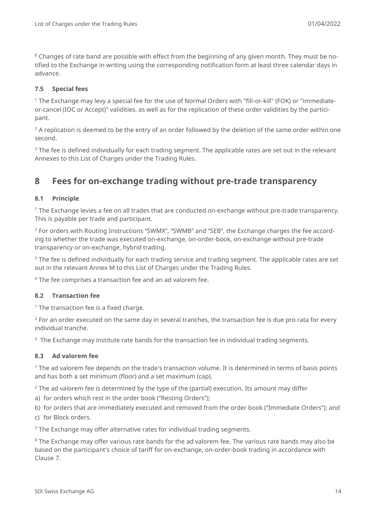<sup>8</sup> Changes of rate band are possible with effect from the beginning of any given month. They must be notified to the Exchange in writing using the corresponding notification form at least three calendar days in advance.

### <span id="page-13-0"></span>**7.5 Special fees**

<sup>1</sup> The Exchange may levy a special fee for the use of Normal Orders with "fill-or-kill" (FOK) or "immediateor-cancel (IOC or Accept)" validities, as well as for the replication of these order validities by the participant.

<sup>2</sup> A replication is deemed to be the entry of an order followed by the deletion of the same order within one second.

 $3$  The fee is defined individually for each trading segment. The applicable rates are set out in the relevant Annexes to this List of Charges under the Trading Rules.

# <span id="page-13-1"></span>**8 Fees for on-exchange trading without pre-trade transparency**

### <span id="page-13-2"></span>**8.1 Principle**

<sup>1</sup> The Exchange levies a fee on all trades that are conducted on-exchange without pre-trade transparency. This is payable per trade and participant.

<sup>2</sup> For orders with Routing Instructions "SWMX", "SWMB" and "SEB", the Exchange charges the fee according to whether the trade was executed on-exchange, on-order-book, on-exchange without pre-trade transparency or on-exchange, hybrid trading.

<sup>3</sup> The fee is defined individually for each trading service and trading segment. The applicable rates are set out in the relevant [Annex M](#page-44-0) to this List of Charges under the Trading Rules.

<span id="page-13-3"></span><sup>4</sup> The fee comprises a transaction fee and an ad valorem fee.

#### **8.2 Transaction fee**

 $1$  The transaction fee is a fixed charge.

<sup>2</sup> For an order executed on the same day in several tranches, the transaction fee is due pro rata for every individual tranche.

<span id="page-13-4"></span> $3$  The Exchange may institute rate bands for the transaction fee in individual trading segments.

#### **8.3 Ad valorem fee**

 $1$  The ad valorem fee depends on the trade's transaction volume. It is determined in terms of basis points and has both a set minimum (floor) and a set maximum (cap).

<sup>2</sup> The ad valorem fee is determined by the type of the (partial) execution. Its amount may differ

a) for orders which rest in the order book ("Resting Orders");

b) for orders that are immediately executed and removed from the order book ("Immediate Orders"); and

c) for Block orders.

<sup>3</sup> The Exchange may offer alternative rates for individual trading segments.

<sup>4</sup> The Exchange may offer various rate bands for the ad valorem fee. The various rate bands may also be based on the participant's choice of tariff for on-exchange, on-order-book trading in accordance with Clause [7.](#page-10-1)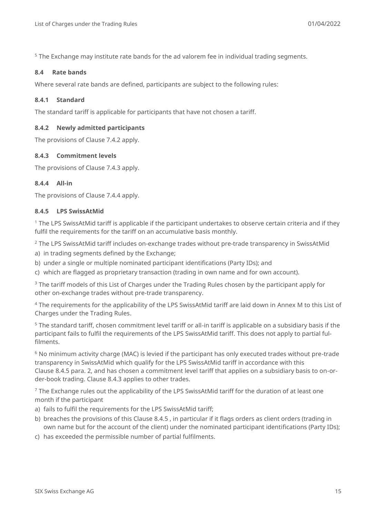<span id="page-14-0"></span><sup>5</sup> The Exchange may institute rate bands for the ad valorem fee in individual trading segments.

#### **8.4 Rate bands**

Where several rate bands are defined, participants are subject to the following rules:

#### <span id="page-14-1"></span>**8.4.1 Standard**

The standard tariff is applicable for participants that have not chosen a tariff.

#### <span id="page-14-2"></span>**8.4.2 Newly admitted participants**

<span id="page-14-3"></span>The provisions of Clause [7.4.2](#page-11-3) apply.

#### **8.4.3 Commitment levels**

<span id="page-14-4"></span>The provisions of Clause [7.4.3](#page-11-4) apply.

#### **8.4.4 All-in**

<span id="page-14-5"></span>The provisions of Clause [7.4.4](#page-12-0) apply.

#### **8.4.5 LPS SwissAtMid**

 $1$  The LPS SwissAtMid tariff is applicable if the participant undertakes to observe certain criteria and if they fulfil the requirements for the tariff on an accumulative basis monthly.

<span id="page-14-6"></span><sup>2</sup> The LPS SwissAtMid tariff includes on-exchange trades without pre-trade transparency in SwissAtMid

a) in trading segments defined by the Exchange;

b) under a single or multiple nominated participant identifications (Party IDs); and

c) which are flagged as proprietary transaction (trading in own name and for own account).

<sup>3</sup> The tariff models of this List of Charges under the Trading Rules chosen by the participant apply for other on-exchange trades without pre-trade transparency.

<sup>4</sup> The requirements for the applicability of the LPS SwissAtMid tariff are laid down in [Annex M](#page-44-0) to this List of Charges under the Trading Rules.

<sup>5</sup> The standard tariff, chosen commitment level tariff or all-in tariff is applicable on a subsidiary basis if the participant fails to fulfil the requirements of the LPS SwissAtMid tariff. This does not apply to partial fulfilments.

 $6$  No minimum activity charge (MAC) is levied if the participant has only executed trades without pre-trade transparency in SwissAtMid which qualify for the LPS SwissAtMid tariff in accordance with this Clause [8.4.5](#page-14-5) para. [2,](#page-14-6) and has chosen a commitment level tariff that applies on a subsidiary basis to on-order-book trading. Clause [8.4.3](#page-14-3) applies to other trades.

 $<sup>7</sup>$  The Exchange rules out the applicability of the LPS SwissAtMid tariff for the duration of at least one</sup> month if the participant

- a) fails to fulfil the requirements for the LPS SwissAtMid tariff;
- b) breaches the provisions of this Clause [8.4.5](#page-14-5) , in particular if it flags orders as client orders (trading in own name but for the account of the client) under the nominated participant identifications (Party IDs);
- c) has exceeded the permissible number of partial fulfilments.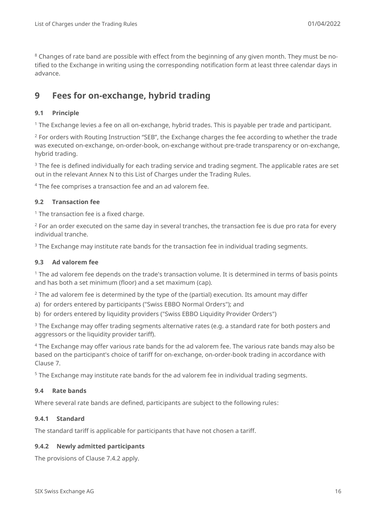<sup>8</sup> Changes of rate band are possible with effect from the beginning of any given month. They must be notified to the Exchange in writing using the corresponding notification form at least three calendar days in advance.

# <span id="page-15-0"></span>**9 Fees for on-exchange, hybrid trading**

### <span id="page-15-1"></span>**9.1 Principle**

<sup>1</sup> The Exchange levies a fee on all on-exchange, hybrid trades. This is payable per trade and participant.

<sup>2</sup> For orders with Routing Instruction "SEB", the Exchange charges the fee according to whether the trade was executed on-exchange, on-order-book, on-exchange without pre-trade transparency or on-exchange, hybrid trading.

 $3$  The fee is defined individually for each trading service and trading segment. The applicable rates are set out in the relevant [Annex N](#page-47-0) to this List of Charges under the Trading Rules.

<sup>4</sup> The fee comprises a transaction fee and an ad valorem fee.

#### <span id="page-15-2"></span>**9.2 Transaction fee**

 $1$  The transaction fee is a fixed charge.

 $2$  For an order executed on the same day in several tranches, the transaction fee is due pro rata for every individual tranche.

 $3$  The Exchange may institute rate bands for the transaction fee in individual trading segments.

#### <span id="page-15-3"></span>**9.3 Ad valorem fee**

 $1$  The ad valorem fee depends on the trade's transaction volume. It is determined in terms of basis points and has both a set minimum (floor) and a set maximum (cap).

 $2$  The ad valorem fee is determined by the type of the (partial) execution. Its amount may differ

a) for orders entered by participants ("Swiss EBBO Normal Orders"); and

b) for orders entered by liquidity providers ("Swiss EBBO Liquidity Provider Orders")

 $3$  The Exchange may offer trading segments alternative rates (e.g. a standard rate for both posters and aggressors or the liquidity provider tariff).

 $4$  The Exchange may offer various rate bands for the ad valorem fee. The various rate bands may also be based on the participant's choice of tariff for on-exchange, on-order-book trading in accordance with Clause [7.](#page-10-1)

<span id="page-15-4"></span><sup>5</sup> The Exchange may institute rate bands for the ad valorem fee in individual trading segments.

#### **9.4 Rate bands**

<span id="page-15-5"></span>Where several rate bands are defined, participants are subject to the following rules:

#### **9.4.1 Standard**

<span id="page-15-6"></span>The standard tariff is applicable for participants that have not chosen a tariff.

#### **9.4.2 Newly admitted participants**

The provisions of Clause [7.4.2](#page-11-3) apply.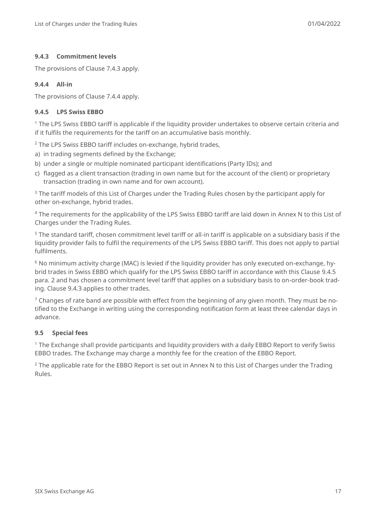### <span id="page-16-0"></span>**9.4.3 Commitment levels**

<span id="page-16-1"></span>The provisions of Clause [7.4.3](#page-11-4) apply.

### **9.4.4 All-in**

<span id="page-16-2"></span>The provisions of Clause [7.4.4](#page-12-0) apply.

#### **9.4.5 LPS Swiss EBBO**

<sup>1</sup> The LPS Swiss EBBO tariff is applicable if the liquidity provider undertakes to observe certain criteria and if it fulfils the requirements for the tariff on an accumulative basis monthly.

<span id="page-16-4"></span><sup>2</sup> The LPS Swiss EBBO tariff includes on-exchange, hybrid trades,

- a) in trading segments defined by the Exchange;
- b) under a single or multiple nominated participant identifications (Party IDs); and
- c) flagged as a client transaction (trading in own name but for the account of the client) or proprietary transaction (trading in own name and for own account).

<sup>3</sup> The tariff models of this List of Charges under the Trading Rules chosen by the participant apply for other on-exchange, hybrid trades.

<sup>4</sup> The requirements for the applicability of the LPS Swiss EBBO tariff are laid down in [Annex N](#page-47-0) to this List of Charges under the Trading Rules.

<sup>5</sup> The standard tariff, chosen commitment level tariff or all-in tariff is applicable on a subsidiary basis if the liquidity provider fails to fulfil the requirements of the LPS Swiss EBBO tariff. This does not apply to partial fulfilments.

<sup>6</sup> No minimum activity charge (MAC) is levied if the liquidity provider has only executed on-exchange, hybrid trades in Swiss EBBO which qualify for the LPS Swiss EBBO tariff in accordance with this Clause [9.4.5](#page-16-2) para. [2](#page-16-4) and has chosen a commitment level tariff that applies on a subsidiary basis to on-order-book trading. Clause [9.4.3](#page-16-0) applies to other trades.

 $7$  Changes of rate band are possible with effect from the beginning of any given month. They must be notified to the Exchange in writing using the corresponding notification form at least three calendar days in advance.

#### <span id="page-16-3"></span>**9.5 Special fees**

<sup>1</sup> The Exchange shall provide participants and liquidity providers with a daily EBBO Report to verify Swiss EBBO trades. The Exchange may charge a monthly fee for the creation of the EBBO Report.

<sup>2</sup> The applicable rate for the EBBO Report is set out in [Annex N](#page-47-0) to this List of Charges under the Trading Rules.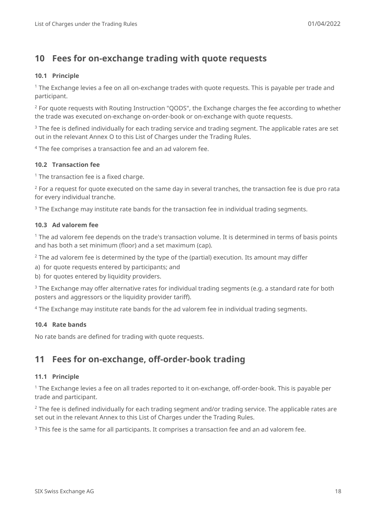# <span id="page-17-0"></span>**10 Fees for on-exchange trading with quote requests**

### <span id="page-17-1"></span>**10.1 Principle**

 $1$  The Exchange levies a fee on all on-exchange trades with quote requests. This is payable per trade and participant.

 $2$  For quote requests with Routing Instruction "OODS", the Exchange charges the fee according to whether the trade was executed on-exchange on-order-book or on-exchange with quote requests.

<sup>3</sup> The fee is defined individually for each trading service and trading segment. The applicable rates are set out in the relevant [Annex O](#page-50-0) to this List of Charges under the Trading Rules.

<sup>4</sup> The fee comprises a transaction fee and an ad valorem fee.

### <span id="page-17-2"></span>**10.2 Transaction fee**

 $1$  The transaction fee is a fixed charge.

<sup>2</sup> For a request for quote executed on the same day in several tranches, the transaction fee is due pro rata for every individual tranche.

 $3$  The Exchange may institute rate bands for the transaction fee in individual trading segments.

#### <span id="page-17-3"></span>**10.3 Ad valorem fee**

<sup>1</sup> The ad valorem fee depends on the trade's transaction volume. It is determined in terms of basis points and has both a set minimum (floor) and a set maximum (cap).

 $2$  The ad valorem fee is determined by the type of the (partial) execution. Its amount may differ

a) for quote requests entered by participants; and

b) for quotes entered by liquidity providers.

<sup>3</sup> The Exchange may offer alternative rates for individual trading segments (e.g. a standard rate for both posters and aggressors or the liquidity provider tariff).

<span id="page-17-4"></span><sup>4</sup> The Exchange may institute rate bands for the ad valorem fee in individual trading segments.

#### **10.4 Rate bands**

<span id="page-17-5"></span>No rate bands are defined for trading with quote requests.

# **11 Fees for on-exchange, off-order-book trading**

#### <span id="page-17-6"></span>**11.1 Principle**

<sup>1</sup> The Exchange levies a fee on all trades reported to it on-exchange, off-order-book. This is payable per trade and participant.

 $2$  The fee is defined individually for each trading segment and/or trading service. The applicable rates are set out in the relevant Annex to this List of Charges under the Trading Rules.

<sup>3</sup> This fee is the same for all participants. It comprises a transaction fee and an ad valorem fee.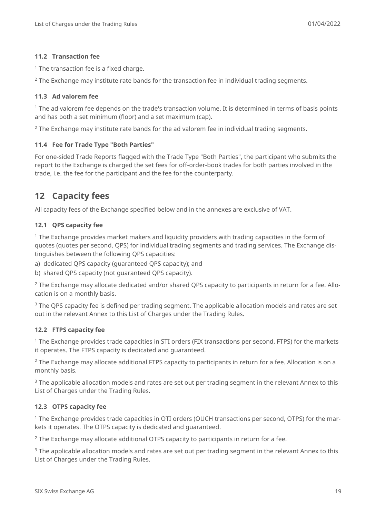#### <span id="page-18-0"></span>**11.2 Transaction fee**

 $1$  The transaction fee is a fixed charge.

 $2$  The Exchange may institute rate bands for the transaction fee in individual trading segments.

#### <span id="page-18-1"></span>**11.3 Ad valorem fee**

 $1$  The ad valorem fee depends on the trade's transaction volume. It is determined in terms of basis points and has both a set minimum (floor) and a set maximum (cap).

<span id="page-18-2"></span> $2$  The Exchange may institute rate bands for the ad valorem fee in individual trading segments.

#### **11.4 Fee for Trade Type "Both Parties"**

For one-sided Trade Reports flagged with the Trade Type "Both Parties", the participant who submits the report to the Exchange is charged the set fees for off-order-book trades for both parties involved in the trade, i.e. the fee for the participant and the fee for the counterparty.

# <span id="page-18-3"></span>**12 Capacity fees**

<span id="page-18-4"></span>All capacity fees of the Exchange specified below and in the annexes are exclusive of VAT.

#### **12.1 QPS capacity fee**

<sup>1</sup> The Exchange provides market makers and liquidity providers with trading capacities in the form of quotes (quotes per second, QPS) for individual trading segments and trading services. The Exchange distinguishes between the following QPS capacities:

a) dedicated QPS capacity (guaranteed QPS capacity); and

b) shared QPS capacity (not guaranteed QPS capacity).

<sup>2</sup> The Exchange may allocate dedicated and/or shared QPS capacity to participants in return for a fee. Allocation is on a monthly basis.

<sup>3</sup> The QPS capacity fee is defined per trading segment. The applicable allocation models and rates are set out in the relevant Annex to this List of Charges under the Trading Rules.

#### <span id="page-18-5"></span>**12.2 FTPS capacity fee**

<sup>1</sup> The Exchange provides trade capacities in STI orders (FIX transactions per second, FTPS) for the markets it operates. The FTPS capacity is dedicated and guaranteed.

<sup>2</sup> The Exchange may allocate additional FTPS capacity to participants in return for a fee. Allocation is on a monthly basis.

 $3$  The applicable allocation models and rates are set out per trading segment in the relevant Annex to this List of Charges under the Trading Rules.

#### <span id="page-18-6"></span>**12.3 OTPS capacity fee**

<sup>1</sup> The Exchange provides trade capacities in OTI orders (OUCH transactions per second, OTPS) for the markets it operates. The OTPS capacity is dedicated and guaranteed.

<sup>2</sup> The Exchange may allocate additional OTPS capacity to participants in return for a fee.

 $3$  The applicable allocation models and rates are set out per trading segment in the relevant Annex to this List of Charges under the Trading Rules.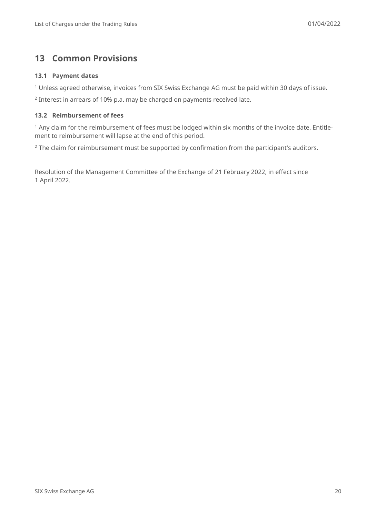# <span id="page-19-0"></span>**13 Common Provisions**

#### <span id="page-19-1"></span>**13.1 Payment dates**

<sup>1</sup> Unless agreed otherwise, invoices from SIX Swiss Exchange AG must be paid within 30 days of issue.

<sup>2</sup> Interest in arrears of 10% p.a. may be charged on payments received late.

#### <span id="page-19-2"></span>**13.2 Reimbursement of fees**

<sup>1</sup> Any claim for the reimbursement of fees must be lodged within six months of the invoice date. Entitlement to reimbursement will lapse at the end of this period.

<sup>2</sup> The claim for reimbursement must be supported by confirmation from the participant's auditors.

Resolution of the Management Committee of the Exchange of 21 February 2022, in effect since 1 April 2022.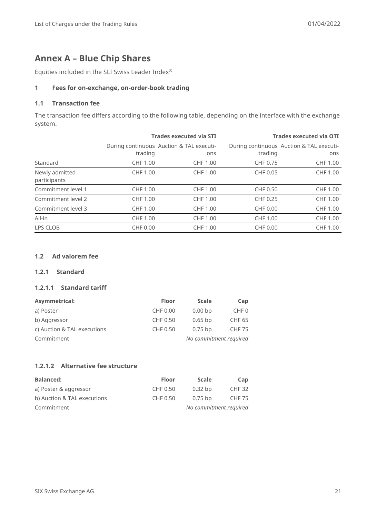# <span id="page-20-0"></span>**Annex A – Blue Chip Shares**

Equities included in the SLI Swiss Leader Index®

#### **1 Fees for on-exchange, on-order-book trading**

#### **1.1 Transaction fee**

The transaction fee differs according to the following table, depending on the interface with the exchange system.

|                                |                                                     | <b>Trades executed via STI</b> | <b>Trades executed via OTI</b> |                                                 |
|--------------------------------|-----------------------------------------------------|--------------------------------|--------------------------------|-------------------------------------------------|
|                                | During continuous Auction & TAL executi-<br>trading | ons                            | trading                        | During continuous Auction & TAL executi-<br>ons |
|                                |                                                     |                                |                                |                                                 |
| Standard                       | CHF 1.00                                            | CHF 1.00                       | CHF 0.75                       | <b>CHF 1.00</b>                                 |
| Newly admitted<br>participants | CHF 1.00                                            | CHF 1.00                       | CHF 0.05                       | CHF 1.00                                        |
| Commitment level 1             | CHF 1.00                                            | CHF 1.00                       | CHF 0.50                       | CHF 1.00                                        |
| Commitment level 2             | CHF 1.00                                            | CHF 1.00                       | CHF 0.25                       | <b>CHF 1.00</b>                                 |
| Commitment level 3             | CHF 1.00                                            | CHF 1.00                       | CHF 0.00                       | <b>CHF 1.00</b>                                 |
| All-in                         | CHF 1.00                                            | CHF 1.00                       | CHF 1.00                       | CHF 1.00                                        |
| LPS CLOB                       | CHF 0.00                                            | CHF 1.00                       | CHF 0.00                       | CHF 1.00                                        |

#### **1.2 Ad valorem fee**

#### **1.2.1 Standard**

#### **1.2.1.1 Standard tariff**

| <b>Asymmetrical:</b>        | <b>Floor</b> | <b>Scale</b>           | Cap              |  |
|-----------------------------|--------------|------------------------|------------------|--|
| a) Poster                   | CHF 0.00     | 0.00 <sub>bp</sub>     | CHF <sub>0</sub> |  |
| b) Aggressor                | CHF 0.50     | $0.65$ bp              | <b>CHF 65</b>    |  |
| c) Auction & TAL executions | CHF 0.50     | $0.75$ bp              | <b>CHF 75</b>    |  |
| Commitment                  |              | No commitment required |                  |  |

### **1.2.1.2 Alternative fee structure**

| <b>Balanced:</b>            | <b>Floor</b> | <b>Scale</b>           | Cap           |
|-----------------------------|--------------|------------------------|---------------|
| a) Poster & aggressor       | CHF 0.50     | $0.32$ bp              | <b>CHF 32</b> |
| b) Auction & TAL executions | CHF 0.50     | $0.75$ bp              | <b>CHF 75</b> |
| Commitment                  |              | No commitment required |               |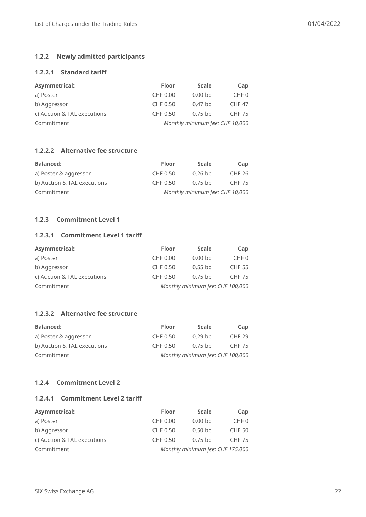# **1.2.2 Newly admitted participants**

# **1.2.2.1 Standard tariff**

| <b>Asymmetrical:</b>        | <b>Floor</b>                    | <b>Scale</b>       | Cap              |
|-----------------------------|---------------------------------|--------------------|------------------|
| a) Poster                   | CHF 0.00                        | 0.00 <sub>bp</sub> | CHF <sub>0</sub> |
| b) Aggressor                | CHF 0.50                        | $0.47$ bp          | <b>CHF 47</b>    |
| c) Auction & TAL executions | CHF 0.50                        | $0.75$ bp          | <b>CHF 75</b>    |
| Commitment                  | Monthly minimum fee: CHF 10,000 |                    |                  |

#### **1.2.2.2 Alternative fee structure**

| <b>Balanced:</b>            | <b>Floor</b> | <b>Scale</b>                    | Cap           |
|-----------------------------|--------------|---------------------------------|---------------|
| a) Poster & aggressor       | CHF 0.50     | $0.26$ bp                       | CHF 26        |
| b) Auction & TAL executions | CHF 0.50     | $0.75$ bp                       | <b>CHF 75</b> |
| Commitment                  |              | Monthly minimum fee: CHF 10,000 |               |

# **1.2.3 Commitment Level 1**

# **1.2.3.1 Commitment Level 1 tariff**

| <b>Asymmetrical:</b>        | <b>Floor</b>                     | <b>Scale</b>       | Cap              |
|-----------------------------|----------------------------------|--------------------|------------------|
| a) Poster                   | CHF 0.00                         | 0.00 <sub>bp</sub> | CHF <sub>0</sub> |
| b) Aggressor                | CHF 0.50                         | $0.55$ bp          | <b>CHF 55</b>    |
| c) Auction & TAL executions | CHF 0.50                         | $0.75$ bp          | <b>CHF 75</b>    |
| Commitment                  | Monthly minimum fee: CHF 100,000 |                    |                  |

# **1.2.3.2 Alternative fee structure**

| <b>Balanced:</b>            | <b>Floor</b>                     | <b>Scale</b> | Cap               |
|-----------------------------|----------------------------------|--------------|-------------------|
| a) Poster & aggressor       | CHF 0.50                         | $0.29$ bp    | CHF <sub>29</sub> |
| b) Auction & TAL executions | CHF 0.50                         | $0.75$ bp    | <b>CHF 75</b>     |
| Commitment                  | Monthly minimum fee: CHF 100,000 |              |                   |

# **1.2.4 Commitment Level 2**

#### **1.2.4.1 Commitment Level 2 tariff**

| <b>Asymmetrical:</b>        | <b>Floor</b>                     | <b>Scale</b>       | Cap              |
|-----------------------------|----------------------------------|--------------------|------------------|
| a) Poster                   | CHF 0.00                         | 0.00 <sub>bp</sub> | CHF <sub>0</sub> |
| b) Aggressor                | CHF 0.50                         | $0.50$ bp          | <b>CHF 50</b>    |
| c) Auction & TAL executions | CHF 0.50                         | $0.75$ bp          | <b>CHF 75</b>    |
| Commitment                  | Monthly minimum fee: CHF 175,000 |                    |                  |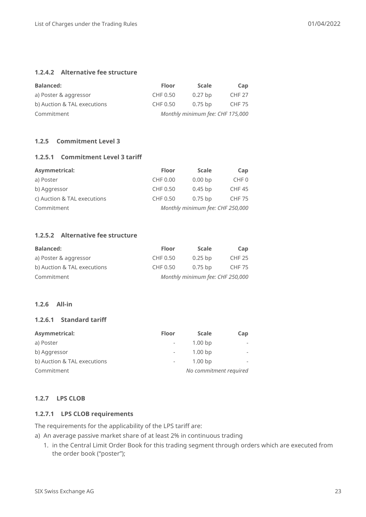# **1.2.4.2 Alternative fee structure**

| <b>Balanced:</b>            | <b>Floor</b> | <b>Scale</b>                     | Cap           |
|-----------------------------|--------------|----------------------------------|---------------|
| a) Poster & aggressor       | CHF 0.50     | $0.27$ bp                        | <b>CHF 27</b> |
| b) Auction & TAL executions | CHF 0.50     | $0.75$ bp                        | CHF 75        |
| Commitment                  |              | Monthly minimum fee: CHF 175,000 |               |

#### **1.2.5 Commitment Level 3**

#### **1.2.5.1 Commitment Level 3 tariff**

| Asymmetrical:               | <b>Floor</b>                     | <b>Scale</b> | Cap              |
|-----------------------------|----------------------------------|--------------|------------------|
| a) Poster                   | CHF 0.00                         | $0.00 b$ p   | CHF <sub>0</sub> |
| b) Aggressor                | CHF 0.50                         | $0.45$ bp    | <b>CHF45</b>     |
| c) Auction & TAL executions | CHF 0.50                         | $0.75$ bp    | <b>CHF 75</b>    |
| Commitment                  | Monthly minimum fee: CHF 250,000 |              |                  |

#### **1.2.5.2 Alternative fee structure**

| <b>Balanced:</b>            | <b>Floor</b>                     | <b>Scale</b> | Cap           |
|-----------------------------|----------------------------------|--------------|---------------|
| a) Poster & aggressor       | CHF 0.50                         | $0.25$ bp    | CHF 25        |
| b) Auction & TAL executions | CHF 0.50                         | $0.75$ bp    | <b>CHF 75</b> |
| Commitment                  | Monthly minimum fee: CHF 250,000 |              |               |

#### **1.2.6 All-in**

#### **1.2.6.1 Standard tariff**

| <b>Asymmetrical:</b>        | <b>Floor</b>             | <b>Scale</b>           | Cap |  |
|-----------------------------|--------------------------|------------------------|-----|--|
| a) Poster                   | $\overline{\phantom{a}}$ | 1.00 <sub>bp</sub>     |     |  |
| b) Aggressor                | $\overline{\phantom{a}}$ | 1.00 <sub>bp</sub>     |     |  |
| b) Auction & TAL executions | $\overline{\phantom{a}}$ | 1.00 <sub>bp</sub>     |     |  |
| Commitment                  |                          | No commitment required |     |  |

#### **1.2.7 LPS CLOB**

#### **1.2.7.1 LPS CLOB requirements**

The requirements for the applicability of the LPS tariff are:

a) An average passive market share of at least 2% in continuous trading

1. in the Central Limit Order Book for this trading segment through orders which are executed from the order book ("poster");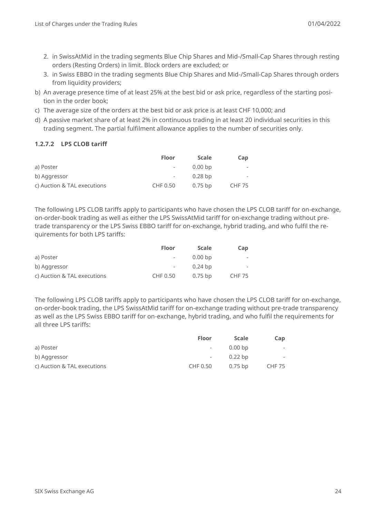- 2. in SwissAtMid in the trading segments Blue Chip Shares and Mid-/Small-Cap Shares through resting orders (Resting Orders) in limit. Block orders are excluded; or
- 3. in Swiss EBBO in the trading segments Blue Chip Shares and Mid-/Small-Cap Shares through orders from liquidity providers;
- b) An average presence time of at least 25% at the best bid or ask price, regardless of the starting position in the order book;
- c) The average size of the orders at the best bid or ask price is at least CHF 10,000; and
- d) A passive market share of at least 2% in continuous trading in at least 20 individual securities in this trading segment. The partial fulfilment allowance applies to the number of securities only.

#### **1.2.7.2 LPS CLOB tariff**

|                             | <b>Floor</b> | <b>Scale</b> | Cap           |
|-----------------------------|--------------|--------------|---------------|
| a) Poster                   |              | $0.00 b$ p   |               |
| b) Aggressor                |              | $0.28$ bp    |               |
| c) Auction & TAL executions | CHF 0.50     | $0.75$ bp    | <b>CHF 75</b> |

The following LPS CLOB tariffs apply to participants who have chosen the LPS CLOB tariff for on-exchange, on-order-book trading as well as either the LPS SwissAtMid tariff for on-exchange trading without pretrade transparency or the LPS Swiss EBBO tariff for on-exchange, hybrid trading, and who fulfil the requirements for both LPS tariffs:

|                             | <b>Floor</b> | <b>Scale</b> | Cap           |
|-----------------------------|--------------|--------------|---------------|
| a) Poster                   |              | $0.00 b$ p   |               |
| b) Aggressor                |              | $0.24$ bp    |               |
| c) Auction & TAL executions | CHF 0.50     | 0.75 bp      | <b>CHF 75</b> |

The following LPS CLOB tariffs apply to participants who have chosen the LPS CLOB tariff for on-exchange, on-order-book trading, the LPS SwissAtMid tariff for on-exchange trading without pre-trade transparency as well as the LPS Swiss EBBO tariff for on-exchange, hybrid trading, and who fulfil the requirements for all three LPS tariffs:

|                             | <b>Floor</b>             | <b>Scale</b> | Cap    |
|-----------------------------|--------------------------|--------------|--------|
| a) Poster                   | $\sim$                   | $0.00 b$ p   | $\sim$ |
| b) Aggressor                | $\overline{\phantom{a}}$ | $0.22$ bp    | $\sim$ |
| c) Auction & TAL executions | CHF 0.50                 | $0.75$ bp    | CHF 75 |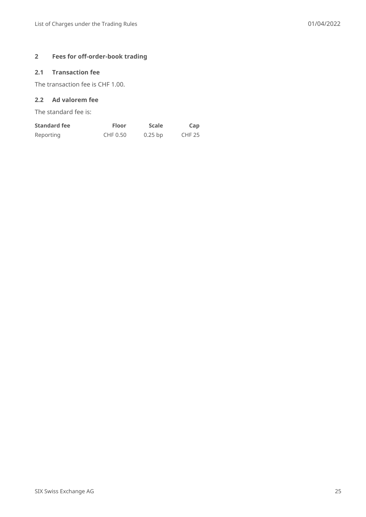# **2 Fees for off-order-book trading**

# **2.1 Transaction fee**

The transaction fee is CHF 1.00.

# **2.2 Ad valorem fee**

The standard fee is:

| <b>Standard fee</b> | Floor    | <b>Scale</b> | Cap           |
|---------------------|----------|--------------|---------------|
| Reporting           | CHF 0.50 | $0.25$ bp    | <b>CHF 25</b> |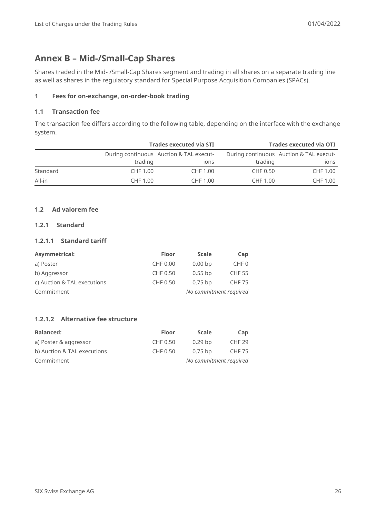# <span id="page-25-0"></span>**Annex B – Mid-/Small-Cap Shares**

Shares traded in the Mid- /Small-Cap Shares segment and trading in all shares on a separate trading line as well as shares in the regulatory standard for Special Purpose Acquisition Companies (SPACs).

### **1 Fees for on-exchange, on-order-book trading**

### **1.1 Transaction fee**

The transaction fee differs according to the following table, depending on the interface with the exchange system.

| <b>Trades executed via STI</b> |          |                                         | <b>Trades executed via OTI</b> |                                         |
|--------------------------------|----------|-----------------------------------------|--------------------------------|-----------------------------------------|
|                                |          | During continuous Auction & TAL execut- |                                | During continuous Auction & TAL execut- |
|                                | trading  | <b>IONS</b>                             | trading                        | ions                                    |
| Standard                       | CHF 1.00 | CHF 1.00                                | CHF 0.50                       | CHF 1.00                                |
| All-in                         | CHF 1.00 | CHF 1.00                                | CHF 1.00                       | CHF 1.00                                |

### **1.2 Ad valorem fee**

# **1.2.1 Standard**

#### **1.2.1.1 Standard tariff**

| Asymmetrical:               | <b>Floor</b> | <b>Scale</b>           | Cap              |  |
|-----------------------------|--------------|------------------------|------------------|--|
| a) Poster                   | CHF 0.00     | 0.00 <sub>bp</sub>     | CHF <sub>0</sub> |  |
| b) Aggressor                | CHF 0.50     | $0.55$ bp              | <b>CHF 55</b>    |  |
| c) Auction & TAL executions | CHF 0.50     | $0.75$ bp              | <b>CHF 75</b>    |  |
| Commitment                  |              | No commitment required |                  |  |

# **1.2.1.2 Alternative fee structure**

| <b>Balanced:</b>            | <b>Floor</b> | <b>Scale</b>           | Cap    |
|-----------------------------|--------------|------------------------|--------|
| a) Poster & aggressor       | CHF 0.50     | $0.29$ bp              | CHF 29 |
| b) Auction & TAL executions | CHF 0.50     | $0.75$ bp              | CHF 75 |
| Commitment                  |              | No commitment required |        |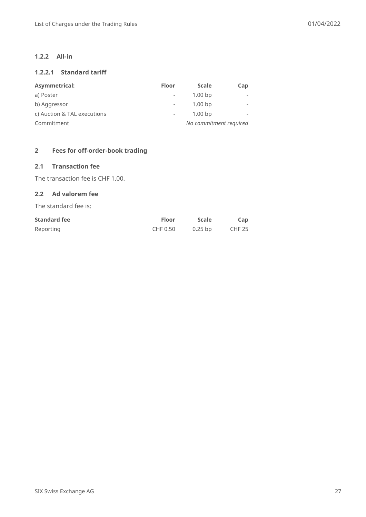#### **1.2.2 All-in**

# **1.2.2.1 Standard tariff**

| Asymmetrical:               | <b>Floor</b>             | <b>Scale</b>           | Cap |
|-----------------------------|--------------------------|------------------------|-----|
| a) Poster                   | $\overline{\phantom{a}}$ | 1.00 <sub>bp</sub>     |     |
| b) Aggressor                | $\overline{\phantom{a}}$ | 1.00 <sub>bp</sub>     |     |
| c) Auction & TAL executions | $\overline{\phantom{a}}$ | 1.00 <sub>bp</sub>     |     |
| Commitment                  |                          | No commitment required |     |

#### **2 Fees for off-order-book trading**

#### **2.1 Transaction fee**

The transaction fee is CHF 1.00.

## **2.2 Ad valorem fee**

The standard fee is:

| <b>Standard fee</b> | <b>Floor</b> | <b>Scale</b> | Cap    |
|---------------------|--------------|--------------|--------|
| Reporting           | CHF 0.50     | $0.25$ bp    | CHF 25 |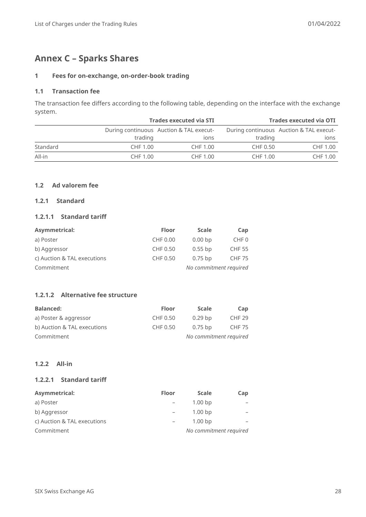# <span id="page-27-0"></span>**Annex C – Sparks Shares**

#### **1 Fees for on-exchange, on-order-book trading**

#### **1.1 Transaction fee**

The transaction fee differs according to the following table, depending on the interface with the exchange system.

| <b>Trades executed via STI</b> |          |                                         | <b>Trades executed via OTI</b> |                                         |
|--------------------------------|----------|-----------------------------------------|--------------------------------|-----------------------------------------|
|                                |          | During continuous Auction & TAL execut- |                                | During continuous Auction & TAL execut- |
|                                | trading  | <b>IONS</b>                             | trading                        | ions                                    |
| Standard                       | CHF 1.00 | CHF 1.00                                | CHF 0.50                       | CHF 1.00                                |
| All-in                         | CHF 1.00 | CHF 1.00                                | CHF 1.00                       | CHF 1.00                                |

#### **1.2 Ad valorem fee**

#### **1.2.1 Standard**

#### **1.2.1.1 Standard tariff**

| Asymmetrical:               | <b>Floor</b> | <b>Scale</b>           | Cap              |
|-----------------------------|--------------|------------------------|------------------|
| a) Poster                   | CHF 0.00     | $0.00 b$ p             | CHF <sub>0</sub> |
| b) Aggressor                | CHF 0.50     | $0.55$ bp              | <b>CHF 55</b>    |
| c) Auction & TAL executions | CHF 0.50     | $0.75$ bp              | <b>CHF 75</b>    |
| Commitment                  |              | No commitment required |                  |

### **1.2.1.2 Alternative fee structure**

| <b>Balanced:</b>            | <b>Floor</b> | <b>Scale</b>           | Cap           |
|-----------------------------|--------------|------------------------|---------------|
| a) Poster & aggressor       | CHF 0.50     | $0.29$ bp              | <b>CHF 29</b> |
| b) Auction & TAL executions | CHF 0.50     | $0.75$ bp              | <b>CHF 75</b> |
| Commitment                  |              | No commitment required |               |

#### **1.2.2 All-in**

# **1.2.2.1 Standard tariff**

| Asymmetrical:               | <b>Floor</b> | <b>Scale</b>           | Cap |
|-----------------------------|--------------|------------------------|-----|
| a) Poster                   |              | 1.00 <sub>bp</sub>     |     |
| b) Aggressor                |              | 1.00 <sub>bp</sub>     |     |
| c) Auction & TAL executions |              | 1.00 <sub>bp</sub>     |     |
| Commitment                  |              | No commitment required |     |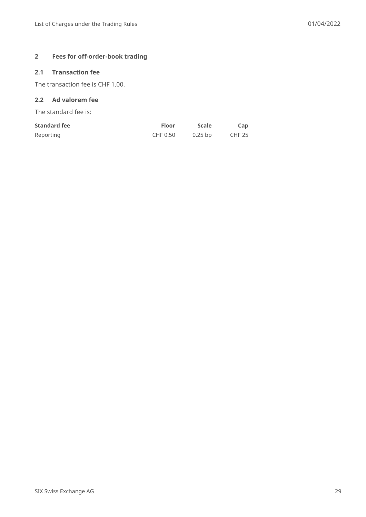# **2 Fees for off-order-book trading**

# **2.1 Transaction fee**

The transaction fee is CHF 1.00.

# **2.2 Ad valorem fee**

The standard fee is:

| <b>Standard fee</b> | <b>Floor</b> | Scale   | Cap           |
|---------------------|--------------|---------|---------------|
| Reporting           | CHF 0.50     | 0.25 bp | <b>CHF 25</b> |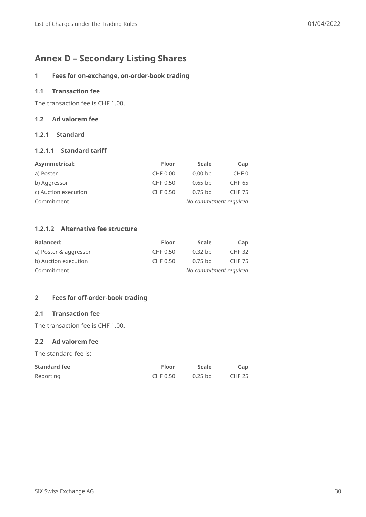# <span id="page-29-0"></span>**Annex D – Secondary Listing Shares**

#### **1 Fees for on-exchange, on-order-book trading**

## **1.1 Transaction fee**

The transaction fee is CHF 1.00.

#### **1.2 Ad valorem fee**

#### **1.2.1 Standard**

#### **1.2.1.1 Standard tariff**

| Asymmetrical:        | <b>Floor</b> | <b>Scale</b>           | Cap              |  |
|----------------------|--------------|------------------------|------------------|--|
| a) Poster            | CHF 0.00     | 0.00 <sub>bp</sub>     | CHF <sub>0</sub> |  |
| b) Aggressor         | CHF 0.50     | $0.65$ bp              | <b>CHF 65</b>    |  |
| c) Auction execution | CHF 0.50     | $0.75$ bp              | <b>CHF 75</b>    |  |
| Commitment           |              | No commitment required |                  |  |

#### **1.2.1.2 Alternative fee structure**

| <b>Balanced:</b>      | <b>Floor</b> | <b>Scale</b>           | Cap           |  |
|-----------------------|--------------|------------------------|---------------|--|
| a) Poster & aggressor | CHF 0.50     | $0.32$ bp              | <b>CHF 32</b> |  |
| b) Auction execution  | CHF 0.50     | $0.75$ bp              | <b>CHF 75</b> |  |
| Commitment            |              | No commitment required |               |  |

#### **2 Fees for off-order-book trading**

### **2.1 Transaction fee**

The transaction fee is CHF 1.00.

#### **2.2 Ad valorem fee**

The standard fee is:

| <b>Standard fee</b> | <b>Floor</b> | <b>Scale</b> | Cap           |
|---------------------|--------------|--------------|---------------|
| Reporting           | CHF 0.50     | $0.25$ bp    | <b>CHF 25</b> |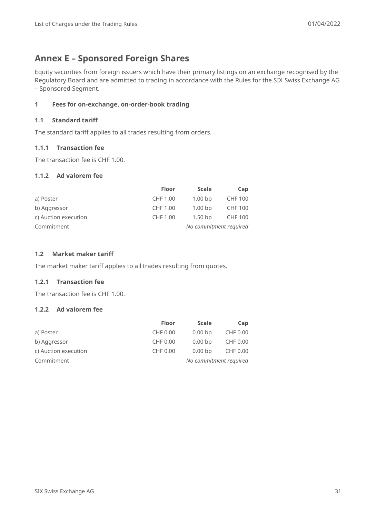# <span id="page-30-0"></span>**Annex E – Sponsored Foreign Shares**

Equity securities from foreign issuers which have their primary listings on an exchange recognised by the Regulatory Board and are admitted to trading in accordance with the Rules for the SIX Swiss Exchange AG – Sponsored Segment.

# **1 Fees for on-exchange, on-order-book trading**

### **1.1 Standard tariff**

The standard tariff applies to all trades resulting from orders.

### **1.1.1 Transaction fee**

The transaction fee is CHF 1.00.

#### **1.1.2 Ad valorem fee**

|                      | <b>Floor</b> | <b>Scale</b>           | Cap            |
|----------------------|--------------|------------------------|----------------|
| a) Poster            | CHF 1.00     | 1.00 <sub>bp</sub>     | <b>CHF 100</b> |
| b) Aggressor         | CHF 1.00     | 1.00 <sub>bp</sub>     | <b>CHF 100</b> |
| c) Auction execution | CHF 1.00     | $1.50$ bp              | <b>CHF 100</b> |
| Commitment           |              | No commitment required |                |

### **1.2 Market maker tariff**

The market maker tariff applies to all trades resulting from quotes.

### **1.2.1 Transaction fee**

The transaction fee is CHF 1.00.

#### **1.2.2 Ad valorem fee**

|                      | <b>Floor</b> | <b>Scale</b> | Cap                    |
|----------------------|--------------|--------------|------------------------|
| a) Poster            | CHF 0.00     | $0.00 b$ p   | CHF 0.00               |
| b) Aggressor         | CHF 0.00     | $0.00 b$ p   | CHF 0.00               |
| c) Auction execution | CHF 0.00     | $0.00 b$ p   | CHF 0.00               |
| Commitment           |              |              | No commitment required |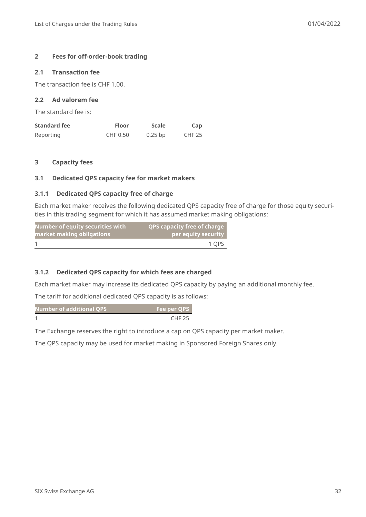#### **2 Fees for off-order-book trading**

#### **2.1 Transaction fee**

The transaction fee is CHF 1.00.

#### **2.2 Ad valorem fee**

The standard fee is:

| <b>Standard fee</b> | <b>Floor</b> | <b>Scale</b> | Cap           |
|---------------------|--------------|--------------|---------------|
| Reporting           | CHF 0.50     | $0.25$ bp    | <b>CHF 25</b> |

#### **3 Capacity fees**

#### **3.1 Dedicated QPS capacity fee for market makers**

#### **3.1.1 Dedicated QPS capacity free of charge**

Each market maker receives the following dedicated QPS capacity free of charge for those equity securities in this trading segment for which it has assumed market making obligations:

| <b>Number of equity securities with</b> | <b>QPS capacity free of charge</b> |
|-----------------------------------------|------------------------------------|
| market making obligations               | per equity security                |
|                                         | 1 OPS                              |

#### **3.1.2 Dedicated QPS capacity for which fees are charged**

Each market maker may increase its dedicated QPS capacity by paying an additional monthly fee.

The tariff for additional dedicated QPS capacity is as follows:

| Number of additional QPS' | Fee per QPS   |
|---------------------------|---------------|
|                           | <b>CHF 25</b> |

The Exchange reserves the right to introduce a cap on QPS capacity per market maker.

The QPS capacity may be used for market making in Sponsored Foreign Shares only.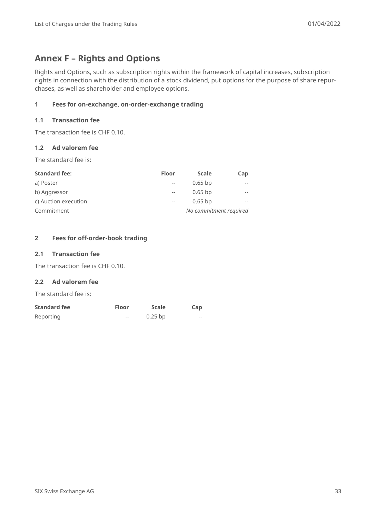# <span id="page-32-0"></span>**Annex F – Rights and Options**

Rights and Options, such as subscription rights within the framework of capital increases, subscription rights in connection with the distribution of a stock dividend, put options for the purpose of share repurchases, as well as shareholder and employee options.

# **1 Fees for on-exchange, on-order-exchange trading**

#### **1.1 Transaction fee**

The transaction fee is CHF 0.10.

#### **1.2 Ad valorem fee**

The standard fee is:

| <b>Standard fee:</b> | <b>Floor</b> | <b>Scale</b> | Cap                    |
|----------------------|--------------|--------------|------------------------|
| a) Poster            | $-$          | $0.65$ bp    | $- -$                  |
| b) Aggressor         | $-$          | $0.65$ bp    | $- -$                  |
| c) Auction execution | $-$          | $0.65$ bp    | $- -$                  |
| Commitment           |              |              | No commitment required |

#### **2 Fees for off-order-book trading**

#### **2.1 Transaction fee**

The transaction fee is CHF 0.10.

#### **2.2 Ad valorem fee**

The standard fee is:

| <b>Standard fee</b> | <b>Floor</b> | <b>Scale</b> | Cap   |
|---------------------|--------------|--------------|-------|
| Reporting           | $- -$        | $0.25$ bp    | $- -$ |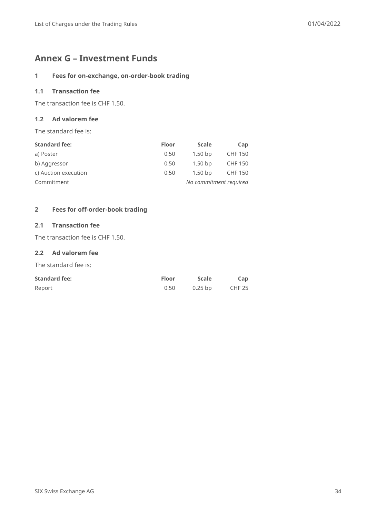# <span id="page-33-0"></span>**Annex G – Investment Funds**

# **1 Fees for on-exchange, on-order-book trading**

# **1.1 Transaction fee**

The transaction fee is CHF 1.50.

#### **1.2 Ad valorem fee**

The standard fee is:

| <b>Standard fee:</b> | <b>Floor</b> | <b>Scale</b>           | Cap            |
|----------------------|--------------|------------------------|----------------|
| a) Poster            | 0.50         | $1.50$ bp              | <b>CHF 150</b> |
| b) Aggressor         | 0.50         | $1.50$ bp              | <b>CHF 150</b> |
| c) Auction execution | 0.50         | $1.50$ bp              | <b>CHF 150</b> |
| Commitment           |              | No commitment required |                |

### **2 Fees for off-order-book trading**

### **2.1 Transaction fee**

The transaction fee is CHF 1.50.

### **2.2 Ad valorem fee**

The standard fee is:

| <b>Standard fee:</b> | <b>Floor</b> | <b>Scale</b> | Cap           |
|----------------------|--------------|--------------|---------------|
| Report               | 0.50         | $0.25$ bp    | <b>CHF 25</b> |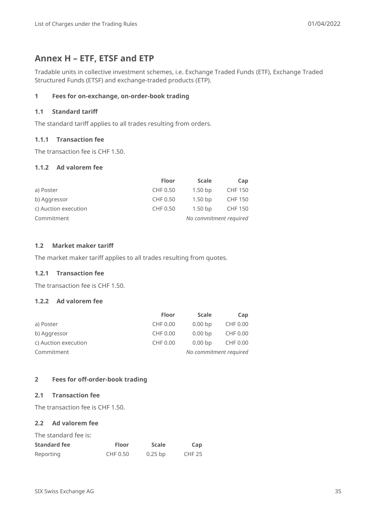# <span id="page-34-0"></span>**Annex H – ETF, ETSF and ETP**

Tradable units in collective investment schemes, i.e. Exchange Traded Funds (ETF), Exchange Traded Structured Funds (ETSF) and exchange-traded products (ETP).

### **1 Fees for on-exchange, on-order-book trading**

### **1.1 Standard tariff**

The standard tariff applies to all trades resulting from orders.

#### **1.1.1 Transaction fee**

The transaction fee is CHF 1.50.

#### **1.1.2 Ad valorem fee**

|                      | <b>Floor</b> | <b>Scale</b>           | Cap            |
|----------------------|--------------|------------------------|----------------|
| a) Poster            | CHF 0.50     | $1.50$ bp              | <b>CHF 150</b> |
| b) Aggressor         | CHF 0.50     | $1.50$ bp              | CHF 150        |
| c) Auction execution | CHF 0.50     | $1.50$ bp              | CHF 150        |
| Commitment           |              | No commitment required |                |

### **1.2 Market maker tariff**

The market maker tariff applies to all trades resulting from quotes.

#### **1.2.1 Transaction fee**

The transaction fee is CHF 1.50.

#### **1.2.2 Ad valorem fee**

|                      | <b>Floor</b> | <b>Scale</b>           | Cap      |
|----------------------|--------------|------------------------|----------|
| a) Poster            | CHF 0.00     | $0.00 b$ p             | CHF 0.00 |
| b) Aggressor         | CHF 0.00     | $0.00 b$ p             | CHF 0.00 |
| c) Auction execution | CHF 0.00     | $0.00 b$ p             | CHF 0.00 |
| Commitment           |              | No commitment required |          |

#### **2 Fees for off-order-book trading**

### **2.1 Transaction fee**

The transaction fee is CHF 1.50.

# **2.2 Ad valorem fee**

| The standard fee is: |              |              |               |
|----------------------|--------------|--------------|---------------|
| <b>Standard fee</b>  | <b>Floor</b> | <b>Scale</b> | Cap           |
| Reporting            | CHF 0.50     | $0.25$ bp    | <b>CHF 25</b> |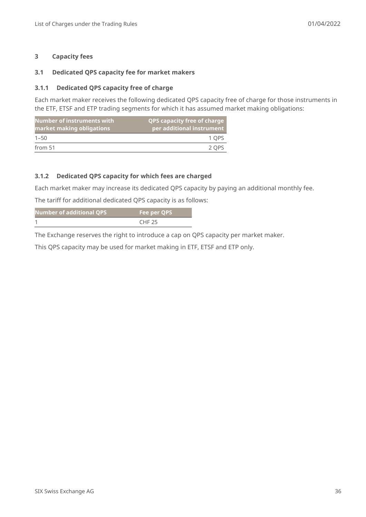#### **3 Capacity fees**

#### **3.1 Dedicated QPS capacity fee for market makers**

#### **3.1.1 Dedicated QPS capacity free of charge**

Each market maker receives the following dedicated QPS capacity free of charge for those instruments in the ETF, ETSF and ETP trading segments for which it has assumed market making obligations:

| Number of instruments with<br>market making obligations | <b>QPS capacity free of charge</b><br>per additional instrument |
|---------------------------------------------------------|-----------------------------------------------------------------|
| $1 - 50$                                                | 1 OPS                                                           |
| from 51                                                 | 2 OPS                                                           |

#### **3.1.2 Dedicated QPS capacity for which fees are charged**

Each market maker may increase its dedicated QPS capacity by paying an additional monthly fee.

The tariff for additional dedicated QPS capacity is as follows:

| Number of additional QPS | Fee per QPS   |
|--------------------------|---------------|
|                          | <b>CHF 25</b> |

The Exchange reserves the right to introduce a cap on QPS capacity per market maker.

This QPS capacity may be used for market making in ETF, ETSF and ETP only.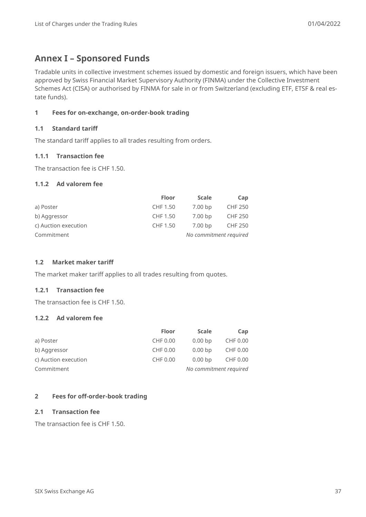# <span id="page-36-0"></span>**Annex I – Sponsored Funds**

Tradable units in collective investment schemes issued by domestic and foreign issuers, which have been approved by Swiss Financial Market Supervisory Authority (FINMA) under the Collective Investment Schemes Act (CISA) or authorised by FINMA for sale in or from Switzerland (excluding ETF, ETSF & real estate funds).

### **1 Fees for on-exchange, on-order-book trading**

#### **1.1 Standard tariff**

The standard tariff applies to all trades resulting from orders.

#### **1.1.1 Transaction fee**

The transaction fee is CHF 1.50.

#### **1.1.2 Ad valorem fee**

|                      | <b>Floor</b> | <b>Scale</b> | Cap                    |
|----------------------|--------------|--------------|------------------------|
| a) Poster            | CHF 1.50     | $7.00 b$ p   | <b>CHF 250</b>         |
| b) Aggressor         | CHF 1.50     | $7.00 b$ p   | <b>CHF 250</b>         |
| c) Auction execution | CHF 1.50     | $7.00 b$ p   | <b>CHF 250</b>         |
| Commitment           |              |              | No commitment required |

#### **1.2 Market maker tariff**

The market maker tariff applies to all trades resulting from quotes.

#### **1.2.1 Transaction fee**

The transaction fee is CHF 1.50.

#### **1.2.2 Ad valorem fee**

|                      | <b>Floor</b> | <b>Scale</b>           | Cap      |
|----------------------|--------------|------------------------|----------|
| a) Poster            | CHF 0.00     | $0.00 b$ p             | CHF 0.00 |
| b) Aggressor         | CHF 0.00     | $0.00 b$ p             | CHF 0.00 |
| c) Auction execution | CHF 0.00     | $0.00 b$ p             | CHF 0.00 |
| Commitment           |              | No commitment required |          |

#### **2 Fees for off-order-book trading**

#### **2.1 Transaction fee**

The transaction fee is CHF 1.50.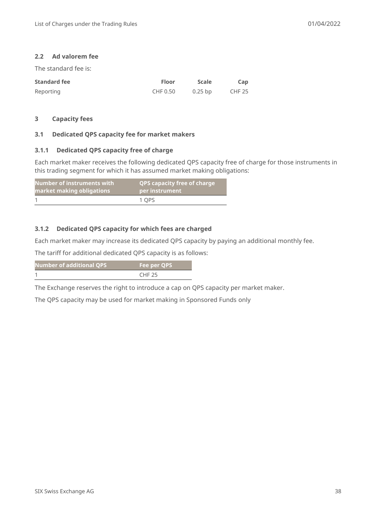#### **2.2 Ad valorem fee**

The standard fee is:

| <b>Standard fee</b> | <b>Floor</b> | <b>Scale</b> | Cap           |
|---------------------|--------------|--------------|---------------|
| Reporting           | CHF 0.50     | $0.25$ bp    | <b>CHF 25</b> |

#### **3 Capacity fees**

#### **3.1 Dedicated QPS capacity fee for market makers**

#### **3.1.1 Dedicated QPS capacity free of charge**

Each market maker receives the following dedicated QPS capacity free of charge for those instruments in this trading segment for which it has assumed market making obligations:

| Number of instruments with | <b>QPS capacity free of charge</b> |
|----------------------------|------------------------------------|
| market making obligations  | per instrument                     |
|                            | 1 OPS                              |

#### **3.1.2 Dedicated QPS capacity for which fees are charged**

Each market maker may increase its dedicated QPS capacity by paying an additional monthly fee.

The tariff for additional dedicated QPS capacity is as follows:

| Number of additional QPS | Fee per QPS   |
|--------------------------|---------------|
|                          | <b>CHF 25</b> |

The Exchange reserves the right to introduce a cap on QPS capacity per market maker.

The QPS capacity may be used for market making in Sponsored Funds only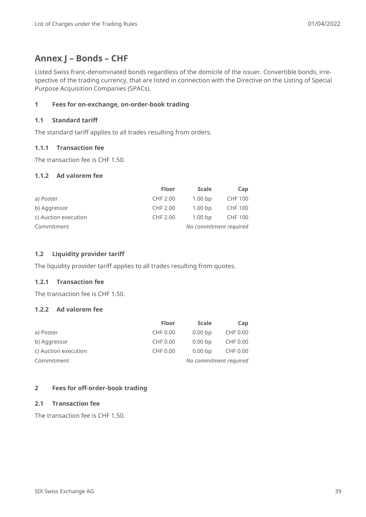# <span id="page-38-0"></span>**Annex J – Bonds – CHF**

Listed Swiss franc-denominated bonds regardless of the domicile of the issuer. Convertible bonds, irrespective of the trading currency, that are listed in connection with the Directive on the Listing of Special Purpose Acquisition Companies (SPACs).

### **1 Fees for on-exchange, on-order-book trading**

#### **1.1 Standard tariff**

The standard tariff applies to all trades resulting from orders.

### **1.1.1 Transaction fee**

The transaction fee is CHF 1.50.

#### **1.1.2 Ad valorem fee**

|                      | <b>Floor</b> | <b>Scale</b>           | Cap            |
|----------------------|--------------|------------------------|----------------|
| a) Poster            | CHF 2.00     | 1.00 <sub>bp</sub>     | <b>CHF 100</b> |
| b) Aggressor         | CHF 2.00     | 1.00 <sub>bp</sub>     | <b>CHF 100</b> |
| c) Auction execution | CHF 2.00     | 1.00 <sub>bp</sub>     | <b>CHF 100</b> |
| Commitment           |              | No commitment required |                |

### **1.2 Liquidity provider tariff**

The liquidity provider tariff applies to all trades resulting from quotes.

### **1.2.1 Transaction fee**

The transaction fee is CHF 1.50.

#### **1.2.2 Ad valorem fee**

|                      | <b>Floor</b> | <b>Scale</b>           | Cap      |
|----------------------|--------------|------------------------|----------|
| a) Poster            | CHF 0.00     | $0.00 b$ p             | CHF 0.00 |
| b) Aggressor         | CHF 0.00     | $0.00 b$ p             | CHF 0.00 |
| c) Auction execution | CHF 0.00     | $0.00 b$ p             | CHF 0.00 |
| Commitment           |              | No commitment required |          |

#### **2 Fees for off-order-book trading**

#### **2.1 Transaction fee**

The transaction fee is CHF 1.50.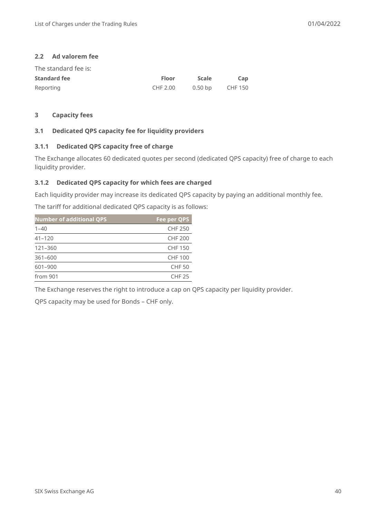#### **2.2 Ad valorem fee**

| The standard fee is: |              |              |                |
|----------------------|--------------|--------------|----------------|
| <b>Standard fee</b>  | <b>Floor</b> | <b>Scale</b> | Cap            |
| Reporting            | CHF 2.00     | $0.50 b$ p   | <b>CHF 150</b> |

#### **3 Capacity fees**

#### **3.1 Dedicated QPS capacity fee for liquidity providers**

#### **3.1.1 Dedicated QPS capacity free of charge**

The Exchange allocates 60 dedicated quotes per second (dedicated QPS capacity) free of charge to each liquidity provider.

#### **3.1.2 Dedicated QPS capacity for which fees are charged**

Each liquidity provider may increase its dedicated QPS capacity by paying an additional monthly fee.

The tariff for additional dedicated QPS capacity is as follows:

| <b>Number of additional QPS</b> | Fee per QPS    |
|---------------------------------|----------------|
| $1 - 40$                        | <b>CHF 250</b> |
| $41 - 120$                      | <b>CHF 200</b> |
| 121-360                         | <b>CHF 150</b> |
| $361 - 600$                     | <b>CHF 100</b> |
| 601-900                         | <b>CHF 50</b>  |
| from 901                        | <b>CHF 25</b>  |

The Exchange reserves the right to introduce a cap on QPS capacity per liquidity provider.

QPS capacity may be used for Bonds – CHF only.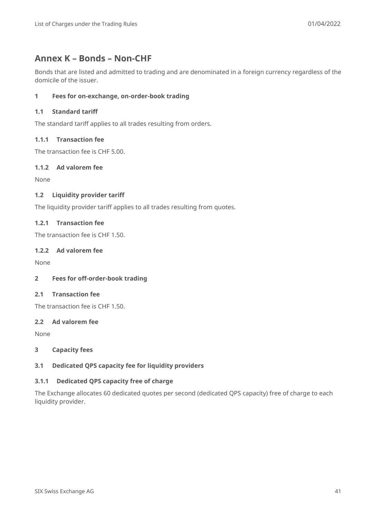# <span id="page-40-0"></span>**Annex K – Bonds – Non-CHF**

Bonds that are listed and admitted to trading and are denominated in a foreign currency regardless of the domicile of the issuer.

# **1 Fees for on-exchange, on-order-book trading**

### **1.1 Standard tariff**

The standard tariff applies to all trades resulting from orders.

#### **1.1.1 Transaction fee**

The transaction fee is CHF 5.00.

#### **1.1.2 Ad valorem fee**

None

#### **1.2 Liquidity provider tariff**

The liquidity provider tariff applies to all trades resulting from quotes.

#### **1.2.1 Transaction fee**

The transaction fee is CHF 1.50.

#### **1.2.2 Ad valorem fee**

None

#### **2 Fees for off-order-book trading**

# **2.1 Transaction fee**

The transaction fee is CHF 1.50.

#### **2.2 Ad valorem fee**

None

#### **3 Capacity fees**

#### **3.1 Dedicated QPS capacity fee for liquidity providers**

#### **3.1.1 Dedicated QPS capacity free of charge**

The Exchange allocates 60 dedicated quotes per second (dedicated QPS capacity) free of charge to each liquidity provider.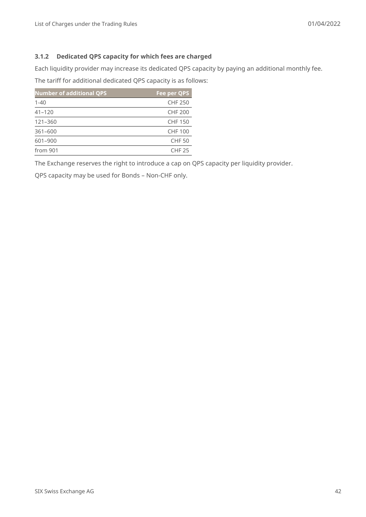### **3.1.2 Dedicated QPS capacity for which fees are charged**

Each liquidity provider may increase its dedicated QPS capacity by paying an additional monthly fee.

The tariff for additional dedicated QPS capacity is as follows:

| <b>Number of additional QPS</b> | Fee per QPS    |
|---------------------------------|----------------|
| $1 - 40$                        | <b>CHF 250</b> |
| $41 - 120$                      | <b>CHF 200</b> |
| 121-360                         | <b>CHF 150</b> |
| $361 - 600$                     | <b>CHF 100</b> |
| 601-900                         | <b>CHF 50</b>  |
| from 901                        | <b>CHF 25</b>  |

The Exchange reserves the right to introduce a cap on QPS capacity per liquidity provider.

QPS capacity may be used for Bonds – Non-CHF only.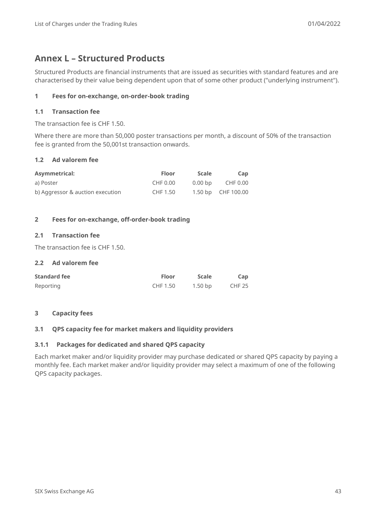# <span id="page-42-0"></span>**Annex L – Structured Products**

Structured Products are financial instruments that are issued as securities with standard features and are characterised by their value being dependent upon that of some other product ("underlying instrument").

# **1 Fees for on-exchange, on-order-book trading**

### **1.1 Transaction fee**

The transaction fee is CHF 1.50.

Where there are more than 50,000 poster transactions per month, a discount of 50% of the transaction fee is granted from the 50,001st transaction onwards.

### **1.2 Ad valorem fee**

| <b>Asymmetrical:</b>             | <b>Floor</b> | <b>Scale</b> | Cap                |
|----------------------------------|--------------|--------------|--------------------|
| a) Poster                        | CHF 0.00     | $0.00 b$ p   | CHF 0.00           |
| b) Aggressor & auction execution | CHF 1.50     |              | 1.50 bp CHF 100.00 |

### **2 Fees for on-exchange, off-order-book trading**

#### **2.1 Transaction fee**

The transaction fee is CHF 1.50.

#### **2.2 Ad valorem fee**

| <b>Standard fee</b> | <b>Floor</b> | Scale   | Cap    |
|---------------------|--------------|---------|--------|
| Reporting           | CHF 1.50     | 1.50 bp | CHF 25 |

#### **3 Capacity fees**

#### **3.1 QPS capacity fee for market makers and liquidity providers**

#### **3.1.1 Packages for dedicated and shared QPS capacity**

Each market maker and/or liquidity provider may purchase dedicated or shared QPS capacity by paying a monthly fee. Each market maker and/or liquidity provider may select a maximum of one of the following QPS capacity packages.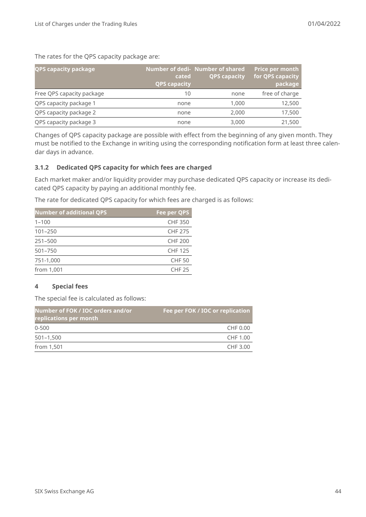The rates for the QPS capacity package are:

| <b>QPS capacity package</b> | cated<br><b>QPS capacity</b> | Number of dedi-Number of shared<br><b>QPS capacity</b> | <b>Price per month</b><br>for QPS capacity<br>package |
|-----------------------------|------------------------------|--------------------------------------------------------|-------------------------------------------------------|
| Free QPS capacity package   | 10                           | none                                                   | free of charge                                        |
| QPS capacity package 1      | none                         | 1,000                                                  | 12,500                                                |
| QPS capacity package 2      | none                         | 2,000                                                  | 17,500                                                |
| QPS capacity package 3      | none                         | 3,000                                                  | 21,500                                                |

Changes of QPS capacity package are possible with effect from the beginning of any given month. They must be notified to the Exchange in writing using the corresponding notification form at least three calendar days in advance.

#### **3.1.2 Dedicated QPS capacity for which fees are charged**

Each market maker and/or liquidity provider may purchase dedicated QPS capacity or increase its dedicated QPS capacity by paying an additional monthly fee.

The rate for dedicated QPS capacity for which fees are charged is as follows:

| <b>Number of additional QPS</b> | Fee per QPS    |
|---------------------------------|----------------|
| $1 - 100$                       | <b>CHF350</b>  |
| $101 - 250$                     | <b>CHF 275</b> |
| $251 - 500$                     | <b>CHF 200</b> |
| $501 - 750$                     | <b>CHF 125</b> |
| 751-1,000                       | <b>CHF 50</b>  |
| from 1,001                      | <b>CHF 25</b>  |

#### **4 Special fees**

The special fee is calculated as follows:

| Number of FOK / IOC orders and/or<br>replications per month | Fee per FOK / IOC or replication |
|-------------------------------------------------------------|----------------------------------|
| $0 - 500$                                                   | CHF 0.00                         |
| $501 - 1,500$                                               | CHF 1.00                         |
| from 1,501                                                  | CHF 3.00                         |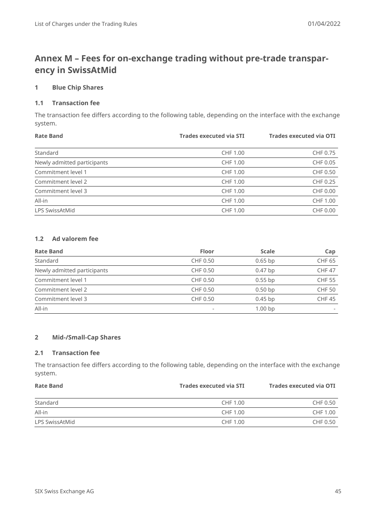# <span id="page-44-0"></span>**Annex M – Fees for on-exchange trading without pre-trade transparency in SwissAtMid**

### **1 Blue Chip Shares**

#### **1.1 Transaction fee**

The transaction fee differs according to the following table, depending on the interface with the exchange system.

| <b>Rate Band</b>            | <b>Trades executed via STI</b> | <b>Trades executed via OTI</b> |
|-----------------------------|--------------------------------|--------------------------------|
|                             |                                |                                |
| Standard                    | CHF 1.00                       | CHF 0.75                       |
| Newly admitted participants | CHF 1.00                       | CHF 0.05                       |
| Commitment level 1          | CHF 1.00                       | CHF 0.50                       |
| Commitment level 2          | CHF 1.00                       | CHF 0.25                       |
| Commitment level 3          | CHF 1.00                       | CHF 0.00                       |
| All-in                      | CHF 1.00                       | CHF 1.00                       |
| LPS SwissAtMid              | CHF 1.00                       | CHF 0.00                       |

# **1.2 Ad valorem fee**

| <b>Rate Band</b>            | <b>Floor</b> | <b>Scale</b>       | Cap           |
|-----------------------------|--------------|--------------------|---------------|
| Standard                    | CHF 0.50     | $0.65$ bp          | <b>CHF 65</b> |
| Newly admitted participants | CHF 0.50     | $0.47$ bp          | <b>CHF 47</b> |
| Commitment level 1          | CHF 0.50     | $0.55$ bp          | <b>CHF 55</b> |
| Commitment level 2          | CHF 0.50     | $0.50$ bp          | <b>CHF 50</b> |
| Commitment level 3          | CHF 0.50     | $0.45$ bp          | <b>CHF45</b>  |
| All-in                      |              | 1.00 <sub>bp</sub> |               |

#### **2 Mid-/Small-Cap Shares**

#### **2.1 Transaction fee**

The transaction fee differs according to the following table, depending on the interface with the exchange system.

| <b>Rate Band</b> | <b>Trades executed via STI</b> |          |  |  |  | Trades executed via OTI |
|------------------|--------------------------------|----------|--|--|--|-------------------------|
| Standard         | CHF 1.00                       | CHF 0.50 |  |  |  |                         |
| All-in           | CHF 1.00                       | CHF 1.00 |  |  |  |                         |
| LPS SwissAtMid   | CHF 1.00                       | CHF 0.50 |  |  |  |                         |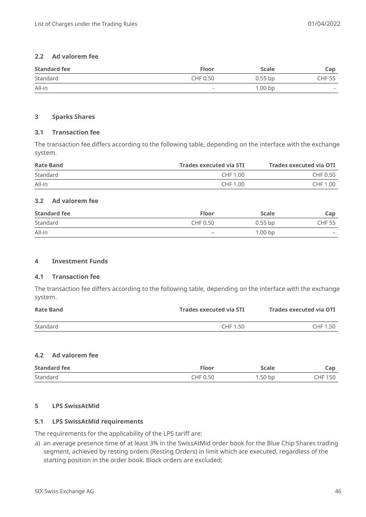#### **2.2 Ad valorem fee**

| <b>Standard fee</b> | <b>Floor</b>             | <b>Scale</b>       | Cap                      |
|---------------------|--------------------------|--------------------|--------------------------|
| Standard            | CHF 0.50                 | $0.55$ bp          | <b>CHF 55</b>            |
| All-in              | $\overline{\phantom{a}}$ | 1.00 <sub>bp</sub> | $\overline{\phantom{a}}$ |

#### **3 Sparks Shares**

#### **3.1 Transaction fee**

The transaction fee differs according to the following table, depending on the interface with the exchange system.

| <b>Rate Band</b> | Trades executed via STI | Trades executed via OTI |
|------------------|-------------------------|-------------------------|
| Standard         | CHF 1.00                | CHF 0.50                |
| All-in           | CHF 1.00                | CHF 1.00                |

### **3.2 Ad valorem fee**

| <b>Standard fee</b> | <b>Floor</b>             | <b>Scale</b>       | Cap             |
|---------------------|--------------------------|--------------------|-----------------|
| Standard            | CHF 0.50                 | $0.55$ bp          | <b>CHF 55</b>   |
| All-in              | $\overline{\phantom{a}}$ | 1.00 <sub>bp</sub> | $\qquad \qquad$ |

#### **4 Investment Funds**

#### **4.1 Transaction fee**

The transaction fee differs according to the following table, depending on the interface with the exchange system.

| <b>Rate Band</b> | Trades executed via STI | Trades executed via OTI |
|------------------|-------------------------|-------------------------|
| Standard         | CHF 1.50                | CHF 1.50                |

#### **4.2 Ad valorem fee**

| <b>Standard fee</b> | <b>Floor</b> | Scale   | Cap            |
|---------------------|--------------|---------|----------------|
| Standard            | CHF 0.50     | 1.50 bp | <b>CHF 150</b> |

#### **5 LPS SwissAtMid**

#### **5.1 LPS SwissAtMid requirements**

The requirements for the applicability of the LPS tariff are:

a) an average presence time of at least 3% in the SwissAtMid order book for the Blue Chip Shares trading segment, achieved by resting orders (Resting Orders) in limit which are executed, regardless of the starting position in the order book. Block orders are excluded;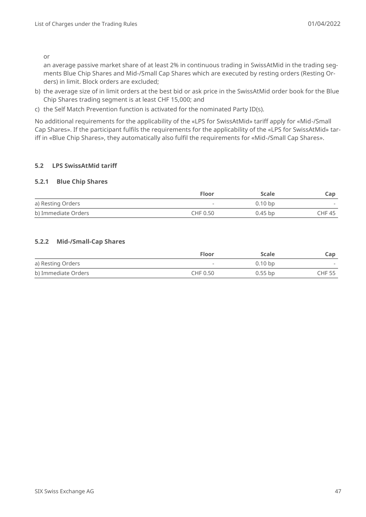or

an average passive market share of at least 2% in continuous trading in SwissAtMid in the trading segments Blue Chip Shares and Mid-/Small Cap Shares which are executed by resting orders (Resting Orders) in limit. Block orders are excluded;

- b) the average size of in limit orders at the best bid or ask price in the SwissAtMid order book for the Blue Chip Shares trading segment is at least CHF 15,000; and
- c) the Self Match Prevention function is activated for the nominated Party ID(s).

No additional requirements for the applicability of the «LPS for SwissAtMid» tariff apply for «Mid-/Small Cap Shares». If the participant fulfils the requirements for the applicability of the «LPS for SwissAtMid» tariff in «Blue Chip Shares», they automatically also fulfil the requirements for «Mid-/Small Cap Shares».

#### **5.2 LPS SwissAtMid tariff**

#### **5.2.1 Blue Chip Shares**

|                     | <b>Floor</b> | <b>Scale</b> | Cap    |
|---------------------|--------------|--------------|--------|
| a) Resting Orders   |              | $0.10 b$ p   |        |
| b) Immediate Orders | CHF 0.50     | $0.45$ bp    | CHF 45 |

#### **5.2.2 Mid-/Small-Cap Shares**

|                     | <b>Floor</b> | <b>Scale</b> | Cap           |
|---------------------|--------------|--------------|---------------|
| a) Resting Orders   | $\,$         | $0.10 b$ p   |               |
| b) Immediate Orders | CHF 0.50     | $0.55$ bp    | <b>CHF 55</b> |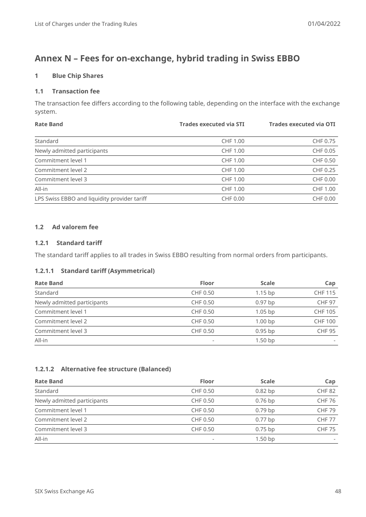# <span id="page-47-0"></span>**Annex N – Fees for on-exchange, hybrid trading in Swiss EBBO**

### **1 Blue Chip Shares**

#### **1.1 Transaction fee**

The transaction fee differs according to the following table, depending on the interface with the exchange system.

| <b>Rate Band</b>                             | <b>Trades executed via STI</b> | <b>Trades executed via OTI</b> |
|----------------------------------------------|--------------------------------|--------------------------------|
| Standard                                     | CHF 1.00                       | CHF 0.75                       |
|                                              |                                |                                |
| Newly admitted participants                  | CHF 1.00                       | CHF 0.05                       |
| Commitment level 1                           | CHF 1.00                       | CHF 0.50                       |
| Commitment level 2                           | CHF 1.00                       | CHF 0.25                       |
| Commitment level 3                           | CHF 1.00                       | CHF 0.00                       |
| All-in                                       | CHF 1.00                       | CHF 1.00                       |
| LPS Swiss EBBO and liquidity provider tariff | CHF 0.00                       | CHF 0.00                       |

#### **1.2 Ad valorem fee**

#### **1.2.1 Standard tariff**

The standard tariff applies to all trades in Swiss EBBO resulting from normal orders from participants.

#### **1.2.1.1 Standard tariff (Asymmetrical)**

| <b>Rate Band</b>            | <b>Floor</b>             | <b>Scale</b>       | Cap            |
|-----------------------------|--------------------------|--------------------|----------------|
| Standard                    | CHF 0.50                 | $1.15$ bp          | <b>CHF 115</b> |
| Newly admitted participants | CHF 0.50                 | $0.97$ bp          | <b>CHF 97</b>  |
| Commitment level 1          | CHF 0.50                 | $1.05$ bp          | <b>CHF 105</b> |
| Commitment level 2          | CHF 0.50                 | 1.00 <sub>bp</sub> | <b>CHF 100</b> |
| Commitment level 3          | CHF 0.50                 | $0.95$ bp          | <b>CHF 95</b>  |
| All-in                      | $\overline{\phantom{0}}$ | $1.50$ bp          |                |

#### **1.2.1.2 Alternative fee structure (Balanced)**

| <b>Rate Band</b>            | <b>Floor</b>             | <b>Scale</b> | Cap           |
|-----------------------------|--------------------------|--------------|---------------|
| Standard                    | CHF 0.50                 | $0.82$ bp    | <b>CHF 82</b> |
| Newly admitted participants | CHF 0.50                 | $0.76$ bp    | <b>CHF 76</b> |
| Commitment level 1          | CHF 0.50                 | $0.79$ bp    | <b>CHF 79</b> |
| Commitment level 2          | CHF 0.50                 | $0.77$ bp    | <b>CHF 77</b> |
| Commitment level 3          | CHF 0.50                 | $0.75$ bp    | <b>CHF 75</b> |
| All-in                      | $\overline{\phantom{0}}$ | $1.50$ bp    |               |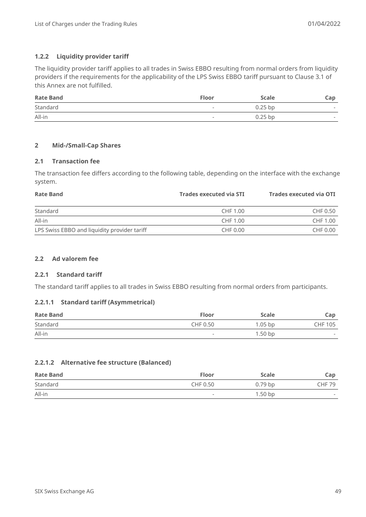#### **1.2.2 Liquidity provider tariff**

The liquidity provider tariff applies to all trades in Swiss EBBO resulting from normal orders from liquidity providers if the requirements for the applicability of the LPS Swiss EBBO tariff pursuant to Clause 3.1 of this Annex are not fulfilled.

| <b>Rate Band</b> | <b>Floor</b>             | Scale     | Cap                      |
|------------------|--------------------------|-----------|--------------------------|
| Standard         | $\overline{\phantom{0}}$ | $0.25$ bp | $\overline{\phantom{a}}$ |
| All-in           |                          | $0.25$ bp | $\overline{\phantom{a}}$ |

#### **2 Mid-/Small-Cap Shares**

#### **2.1 Transaction fee**

The transaction fee differs according to the following table, depending on the interface with the exchange system.

| <b>Rate Band</b>                             | <b>Trades executed via STI</b> | Trades executed via OTI |
|----------------------------------------------|--------------------------------|-------------------------|
| Standard                                     | CHF 1.00                       | CHF 0.50                |
| All-in                                       | CHF 1.00                       | CHF 1.00                |
| LPS Swiss EBBO and liquidity provider tariff | CHF 0.00                       | CHF 0.00                |

# **2.2 Ad valorem fee**

#### **2.2.1 Standard tariff**

The standard tariff applies to all trades in Swiss EBBO resulting from normal orders from participants.

#### **2.2.1.1 Standard tariff (Asymmetrical)**

| <b>Rate Band</b> | <b>Floor</b> | Scale     | Cap            |
|------------------|--------------|-----------|----------------|
| Standard         | CHF 0.50     | $1.05$ bp | <b>CHF 105</b> |
| All-in           |              | $1.50$ bp | $\sim$         |

#### **2.2.1.2 Alternative fee structure (Balanced)**

| <b>Rate Band</b> | <b>Floor</b>             | <b>Scale</b> | Cap                      |
|------------------|--------------------------|--------------|--------------------------|
| Standard         | CHF 0.50                 | $0.79$ bp    | <b>CHF 79</b>            |
| All-in           | $\overline{\phantom{0}}$ | $1.50$ bp    | $\overline{\phantom{a}}$ |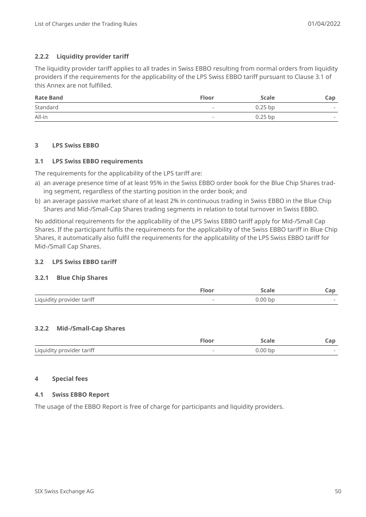#### **2.2.2 Liquidity provider tariff**

The liquidity provider tariff applies to all trades in Swiss EBBO resulting from normal orders from liquidity providers if the requirements for the applicability of the LPS Swiss EBBO tariff pursuant to Clause 3.1 of this Annex are not fulfilled.

| <b>Rate Band</b> | <b>Floor</b> | Scale     | Cap                      |
|------------------|--------------|-----------|--------------------------|
| Standard         | $\,$         | $0.25$ bp | $\overline{\phantom{a}}$ |
| All-in           | -            | $0.25$ bp | $\overline{\phantom{a}}$ |

#### **3 LPS Swiss EBBO**

#### **3.1 LPS Swiss EBBO requirements**

The requirements for the applicability of the LPS tariff are:

- a) an average presence time of at least 95% in the Swiss EBBO order book for the Blue Chip Shares trading segment, regardless of the starting position in the order book; and
- b) an average passive market share of at least 2% in continuous trading in Swiss EBBO in the Blue Chip Shares and Mid-/Small-Cap Shares trading segments in relation to total turnover in Swiss EBBO.

No additional requirements for the applicability of the LPS Swiss EBBO tariff apply for Mid-/Small Cap Shares. If the participant fulfils the requirements for the applicability of the Swiss EBBO tariff in Blue Chip Shares, it automatically also fulfil the requirements for the applicability of the LPS Swiss EBBO tariff for Mid-/Small Cap Shares.

#### **3.2 LPS Swiss EBBO tariff**

#### **3.2.1 Blue Chip Shares**

|                           | ™loor  | scaie     | $\sim$ $\sim$<br>-ap- |
|---------------------------|--------|-----------|-----------------------|
| Liquidity provider tariff | $\sim$ | $0.00$ bp |                       |

#### **3.2.2 Mid-/Small-Cap Shares**

|                           | Floor | <b>Scale</b> | Cap |
|---------------------------|-------|--------------|-----|
| Liquidity provider tariff |       | $0.00 b$ p   |     |

#### **4 Special fees**

#### **4.1 Swiss EBBO Report**

The usage of the EBBO Report is free of charge for participants and liquidity providers.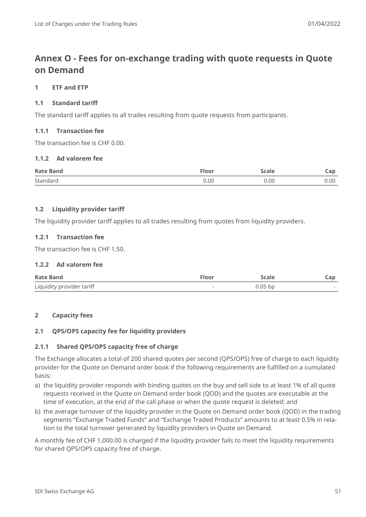# <span id="page-50-0"></span>**Annex O - Fees for on-exchange trading with quote requests in Quote on Demand**

#### **1 ETF and ETP**

### **1.1 Standard tariff**

The standard tariff applies to all trades resulting from quote requests from participants.

#### **1.1.1 Transaction fee**

The transaction fee is CHF 0.00.

#### **1.1.2 Ad valorem fee**

| <b>Rate Band</b> | Floor | Scale | $\sim$ 19<br>-ap- |
|------------------|-------|-------|-------------------|
| Standard         | 0.00  | 0.00  | 0.00              |

#### **1.2 Liquidity provider tariff**

The liquidity provider tariff applies to all trades resulting from quotes from liquidity providers.

#### **1.2.1 Transaction fee**

The transaction fee is CHF 1.50.

#### **1.2.2 Ad valorem fee**

| <b>Rate Band</b>          | Floor | Scale     | cap    |
|---------------------------|-------|-----------|--------|
| Liquidity provider tariff |       | $0.05$ bp | $\sim$ |

#### **2 Capacity fees**

#### **2.1 QPS/OPS capacity fee for liquidity providers**

#### **2.1.1 Shared QPS/OPS capacity free of charge**

The Exchange allocates a total of 200 shared quotes per second (QPS/OPS) free of charge to each liquidity provider for the Quote on Demand order book if the following requirements are fulfilled on a cumulated basis:

- a) the liquidity provider responds with binding quotes on the buy and sell side to at least 1% of all quote requests received in the Quote on Demand order book (QOD) and the quotes are executable at the time of execution, at the end of the call phase or when the quote request is deleted; and
- b) the average turnover of the liquidity provider in the Quote on Demand order book (QOD) in the trading segments "Exchange Traded Funds" and "Exchange Traded Products" amounts to at least 0.5% in relation to the total turnover generated by liquidity providers in Quote on Demand.

A monthly fee of CHF 1,000.00 is charged if the liquidity provider fails to meet the liquidity requirements for shared QPS/OPS capacity free of charge.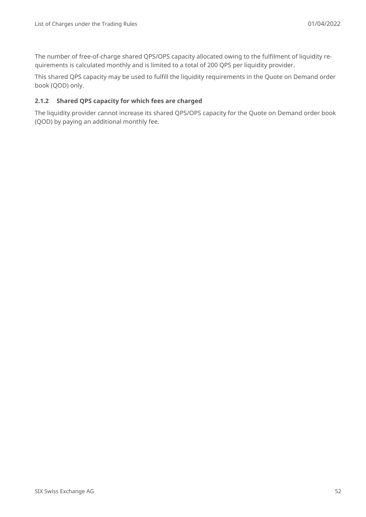The number of free-of-charge shared QPS/OPS capacity allocated owing to the fulfilment of liquidity requirements is calculated monthly and is limited to a total of 200 QPS per liquidity provider.

This shared QPS capacity may be used to fulfill the liquidity requirements in the Quote on Demand order book (QOD) only.

#### **2.1.2 Shared QPS capacity for which fees are charged**

The liquidity provider cannot increase its shared QPS/OPS capacity for the Quote on Demand order book (QOD) by paying an additional monthly fee.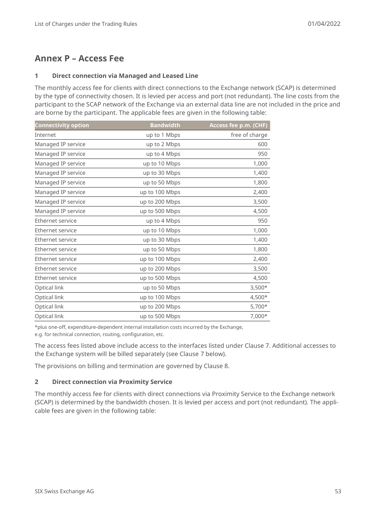# <span id="page-52-0"></span>**Annex P – Access Fee**

#### **1 Direct connection via Managed and Leased Line**

The monthly access fee for clients with direct connections to the Exchange network (SCAP) is determined by the type of connectivity chosen. It is levied per access and port (not redundant). The line costs from the participant to the SCAP network of the Exchange via an external data line are not included in the price and are borne by the participant. The applicable fees are given in the following table:

| <b>Connectivity option</b> | <b>Bandwidth</b> | Access fee p.m. (CHF) |
|----------------------------|------------------|-----------------------|
| Internet                   | up to 1 Mbps     | free of charge        |
| Managed IP service         | up to 2 Mbps     | 600                   |
| Managed IP service         | up to 4 Mbps     | 950                   |
| Managed IP service         | up to 10 Mbps    | 1,000                 |
| Managed IP service         | up to 30 Mbps    | 1,400                 |
| Managed IP service         | up to 50 Mbps    | 1,800                 |
| Managed IP service         | up to 100 Mbps   | 2,400                 |
| Managed IP service         | up to 200 Mbps   | 3,500                 |
| Managed IP service         | up to 500 Mbps   | 4,500                 |
| Ethernet service           | up to 4 Mbps     | 950                   |
| Ethernet service           | up to 10 Mbps    | 1,000                 |
| Ethernet service           | up to 30 Mbps    | 1,400                 |
| Ethernet service           | up to 50 Mbps    | 1,800                 |
| Ethernet service           | up to 100 Mbps   | 2,400                 |
| Ethernet service           | up to 200 Mbps   | 3,500                 |
| Ethernet service           | up to 500 Mbps   | 4,500                 |
| Optical link               | up to 50 Mbps    | $3,500*$              |
| Optical link               | up to 100 Mbps   | $4,500*$              |
| Optical link               | up to 200 Mbps   | $5,700*$              |
| Optical link               | up to 500 Mbps   | 7,000*                |

\*plus one-off, expenditure-dependent internal installation costs incurred by the Exchange,

e.g. for technical connection, routing, configuration, etc.

The access fees listed above include access to the interfaces listed under Clause 7. Additional accesses to the Exchange system will be billed separately (see Clause 7 below).

The provisions on billing and termination are governed by Clause 8.

# **2 Direct connection via Proximity Service**

The monthly access fee for clients with direct connections via Proximity Service to the Exchange network (SCAP) is determined by the bandwidth chosen. It is levied per access and port (not redundant). The applicable fees are given in the following table: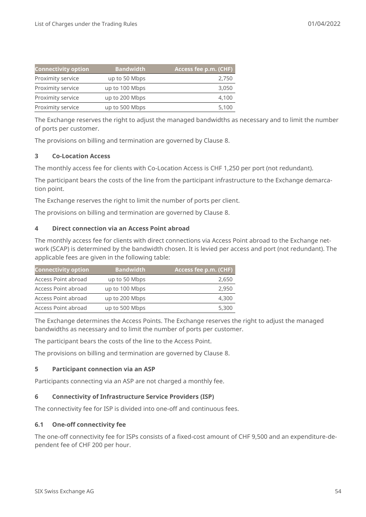| <b>Connectivity option</b> | <b>Bandwidth</b> | Access fee p.m. (CHF) |
|----------------------------|------------------|-----------------------|
| Proximity service          | up to 50 Mbps    | 2,750                 |
| Proximity service          | up to 100 Mbps   | 3,050                 |
| Proximity service          | up to 200 Mbps   | 4,100                 |
| Proximity service          | up to 500 Mbps   | 5,100                 |

The Exchange reserves the right to adjust the managed bandwidths as necessary and to limit the number of ports per customer.

The provisions on billing and termination are governed by Clause 8.

#### **3 Co-Location Access**

The monthly access fee for clients with Co-Location Access is CHF 1,250 per port (not redundant).

The participant bears the costs of the line from the participant infrastructure to the Exchange demarcation point.

The Exchange reserves the right to limit the number of ports per client.

The provisions on billing and termination are governed by Clause 8.

#### **4 Direct connection via an Access Point abroad**

The monthly access fee for clients with direct connections via Access Point abroad to the Exchange network (SCAP) is determined by the bandwidth chosen. It is levied per access and port (not redundant). The applicable fees are given in the following table:

| <b>Connectivity option</b> | Bandwidth ˈ    | Access fee p.m. (CHF) |
|----------------------------|----------------|-----------------------|
| Access Point abroad        | up to 50 Mbps  | 2,650                 |
| Access Point abroad        | up to 100 Mbps | 2,950                 |
| Access Point abroad        | up to 200 Mbps | 4,300                 |
| Access Point abroad        | up to 500 Mbps | 5,300                 |

The Exchange determines the Access Points. The Exchange reserves the right to adjust the managed bandwidths as necessary and to limit the number of ports per customer.

The participant bears the costs of the line to the Access Point.

The provisions on billing and termination are governed by Clause 8.

#### **5 Participant connection via an ASP**

Participants connecting via an ASP are not charged a monthly fee.

#### **6 Connectivity of Infrastructure Service Providers (ISP)**

The connectivity fee for ISP is divided into one-off and continuous fees.

#### **6.1 One-off connectivity fee**

The one-off connectivity fee for ISPs consists of a fixed-cost amount of CHF 9,500 and an expenditure-dependent fee of CHF 200 per hour.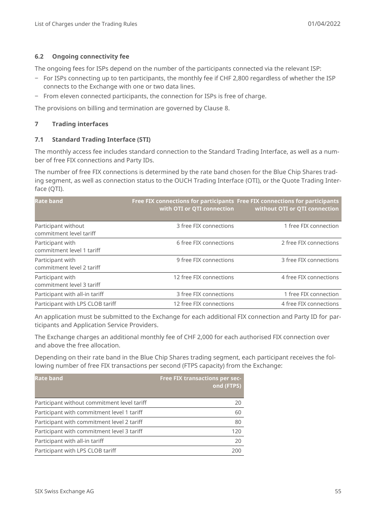#### **6.2 Ongoing connectivity fee**

The ongoing fees for ISPs depend on the number of the participants connected via the relevant ISP:

- ‒ For ISPs connecting up to ten participants, the monthly fee if CHF 2,800 regardless of whether the ISP connects to the Exchange with one or two data lines.
- ‒ From eleven connected participants, the connection for ISPs is free of charge.

The provisions on billing and termination are governed by Clause 8.

#### **7 Trading interfaces**

#### **7.1 Standard Trading Interface (STI)**

The monthly access fee includes standard connection to the Standard Trading Interface, as well as a number of free FIX connections and Party IDs.

The number of free FIX connections is determined by the rate band chosen for the Blue Chip Shares trading segment, as well as connection status to the OUCH Trading Interface (OTI), or the Quote Trading Interface (QTI).

| <b>Rate band</b>                               | Free FIX connections for participants Free FIX connections for participants | with OTI or QTI connection without OTI or QTI connection |
|------------------------------------------------|-----------------------------------------------------------------------------|----------------------------------------------------------|
| Participant without<br>commitment level tariff | 3 free FIX connections                                                      | 1 free FIX connection                                    |
| Participant with<br>commitment level 1 tariff  | 6 free FIX connections                                                      | 2 free FIX connections                                   |
| Participant with<br>commitment level 2 tariff  | 9 free FIX connections                                                      | 3 free FIX connections                                   |
| Participant with<br>commitment level 3 tariff  | 12 free FIX connections                                                     | 4 free FIX connections                                   |
| Participant with all-in tariff                 | 3 free FIX connections                                                      | 1 free FIX connection                                    |
| Participant with LPS CLOB tariff               | 12 free FIX connections                                                     | 4 free FIX connections                                   |

An application must be submitted to the Exchange for each additional FIX connection and Party ID for participants and Application Service Providers.

The Exchange charges an additional monthly fee of CHF 2,000 for each authorised FIX connection over and above the free allocation.

Depending on their rate band in the Blue Chip Shares trading segment, each participant receives the following number of free FIX transactions per second (FTPS capacity) from the Exchange:

| <b>Rate band</b>                            | <b>Free FIX transactions per sec-</b><br>ond (FTPS) |
|---------------------------------------------|-----------------------------------------------------|
| Participant without commitment level tariff | 20                                                  |
| Participant with commitment level 1 tariff  | 60                                                  |
| Participant with commitment level 2 tariff  | 80                                                  |
| Participant with commitment level 3 tariff  | 120                                                 |
| Participant with all-in tariff              | 20                                                  |
| Participant with LPS CLOB tariff            | 200                                                 |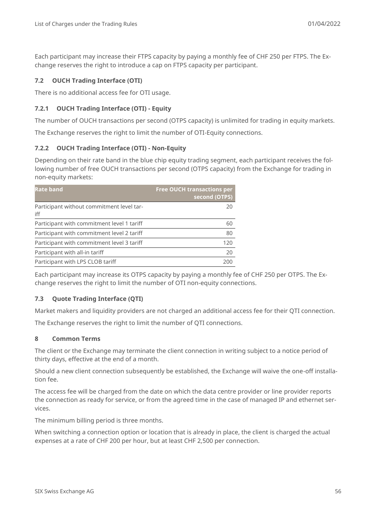# **7.2 OUCH Trading Interface (OTI)**

There is no additional access fee for OTI usage.

# **7.2.1 OUCH Trading Interface (OTI) - Equity**

The number of OUCH transactions per second (OTPS capacity) is unlimited for trading in equity markets.

The Exchange reserves the right to limit the number of OTI-Equity connections.

### <span id="page-55-0"></span>**7.2.2 OUCH Trading Interface (OTI) - Non-Equity**

Depending on their rate band in the blue chip equity trading segment, each participant receives the following number of free OUCH transactions per second (OTPS capacity) from the Exchange for trading in non-equity markets:

| <b>Rate band</b>                                 | <b>Free OUCH transactions per</b><br>second (OTPS) |
|--------------------------------------------------|----------------------------------------------------|
| Participant without commitment level tar-<br>iff | 20                                                 |
| Participant with commitment level 1 tariff       | 60                                                 |
| Participant with commitment level 2 tariff       | 80                                                 |
| Participant with commitment level 3 tariff       | 120                                                |
| Participant with all-in tariff                   | 20                                                 |
| Participant with LPS CLOB tariff                 | 200                                                |

Each participant may increase its OTPS capacity by paying a monthly fee of CHF 250 per OTPS. The Exchange reserves the right to limit the number of OTI non-equity connections.

#### **7.3 Quote Trading Interface (QTI)**

Market makers and liquidity providers are not charged an additional access fee for their QTI connection.

The Exchange reserves the right to limit the number of QTI connections.

#### **8 Common Terms**

The client or the Exchange may terminate the client connection in writing subject to a notice period of thirty days, effective at the end of a month.

Should a new client connection subsequently be established, the Exchange will waive the one-off installation fee.

The access fee will be charged from the date on which the data centre provider or line provider reports the connection as ready for service, or from the agreed time in the case of managed IP and ethernet services.

The minimum billing period is three months.

When switching a connection option or location that is already in place, the client is charged the actual expenses at a rate of CHF 200 per hour, but at least CHF 2,500 per connection.